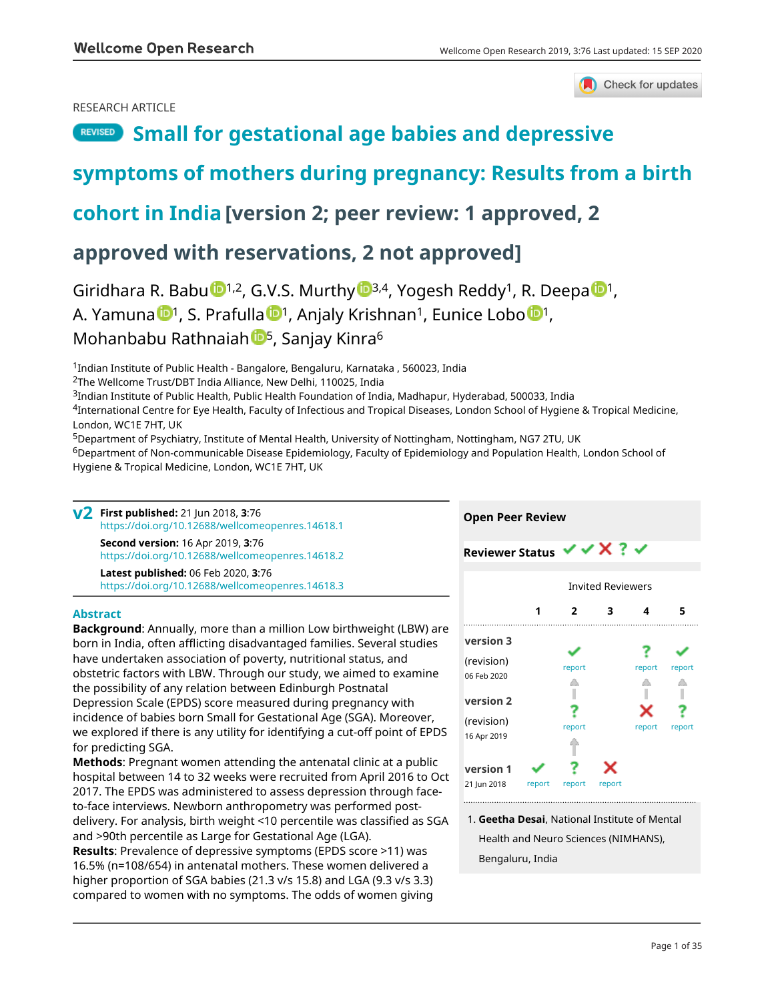### RESEARCH ARTICLE

# Check for updates

# **REVISED** [Small for gestational age babies and depressive](https://wellcomeopenresearch.org/articles/3-76/v2)

# **[symptoms of mothers during pregnancy: Results from a birth](https://wellcomeopenresearch.org/articles/3-76/v2)**

# **[cohort in India](https://wellcomeopenresearch.org/articles/3-76/v2) [version 2; peer review: 1 approved, 2**

# **approved with reservations, 2 not approved]**

Giridhara R. Babu  $\mathbb{D}^{1,2}$  $\mathbb{D}^{1,2}$  $\mathbb{D}^{1,2}$ , G.V.S. Murthy  $\mathbb{D}^{3,4}$  $\mathbb{D}^{3,4}$  $\mathbb{D}^{3,4}$ , Yogesh Reddy<sup>1</sup>, R. Deepa  $\mathbb{D}^{1}$ , A. Y[a](https://orcid.org/0000-0001-7473-5024)muna <sup>1</sup>, S. Prafulla <sup>1</sup>, Anjaly Krishnan<sup>1</sup>, Eunice Lobo <sup>1</sup>, Mo[h](https://orcid.org/0000-0002-3580-5023)anbabu Rathnaiah <sup>15</sup>, Sanjay Kinra<sup>6</sup>

<sup>1</sup>Indian Institute of Public Health - Bangalore, Bengaluru, Karnataka , 560023, India

<sup>2</sup>The Wellcome Trust/DBT India Alliance, New Delhi, 110025, India

<sup>3</sup>Indian Institute of Public Health, Public Health Foundation of India, Madhapur, Hyderabad, 500033, India

<sup>4</sup>International Centre for Eye Health, Faculty of Infectious and Tropical Diseases, London School of Hygiene & Tropical Medicine, London, WC1E 7HT, UK

<sup>5</sup>Department of Psychiatry, Institute of Mental Health, University of Nottingham, Nottingham, NG7 2TU, UK

<sup>6</sup>Department of Non-communicable Disease Epidemiology, Faculty of Epidemiology and Population Health, London School of Hygiene & Tropical Medicine, London, WC1E 7HT, UK

**First published:** 21 Jun 2018, **3**:76 **v2** <https://doi.org/10.12688/wellcomeopenres.14618.1> **Second version:** 16 Apr 2019, **3**:76 <https://doi.org/10.12688/wellcomeopenres.14618.2>

**Latest published:** 06 Feb 2020, **3**:76 <https://doi.org/10.12688/wellcomeopenres.14618.3>

### **Abstract**

**Background**: Annually, more than a million Low birthweight (LBW) are born in India, often afflicting disadvantaged families. Several studies have undertaken association of poverty, nutritional status, and obstetric factors with LBW. Through our study, we aimed to examine the possibility of any relation between Edinburgh Postnatal Depression Scale (EPDS) score measured during pregnancy with incidence of babies born Small for Gestational Age (SGA). Moreover, we explored if there is any utility for identifying a cut-off point of EPDS for predicting SGA.

**Methods**: Pregnant women attending the antenatal clinic at a public hospital between 14 to 32 weeks were recruited from April 2016 to Oct 2017. The EPDS was administered to assess depression through faceto-face interviews. Newborn anthropometry was performed postdelivery. For analysis, birth weight <10 percentile was classified as SGA and >90th percentile as Large for Gestational Age (LGA).

**Results**: Prevalence of depressive symptoms (EPDS score >11) was 16.5% (n=108/654) in antenatal mothers. These women delivered a higher proportion of SGA babies (21.3 v/s 15.8) and LGA (9.3 v/s 3.3) compared to women with no symptoms. The odds of women giving



**Open Peer Review**

**Geetha Desai**, National Institute of Mental 1. Health and Neuro Sciences (NIMHANS), Bengaluru, India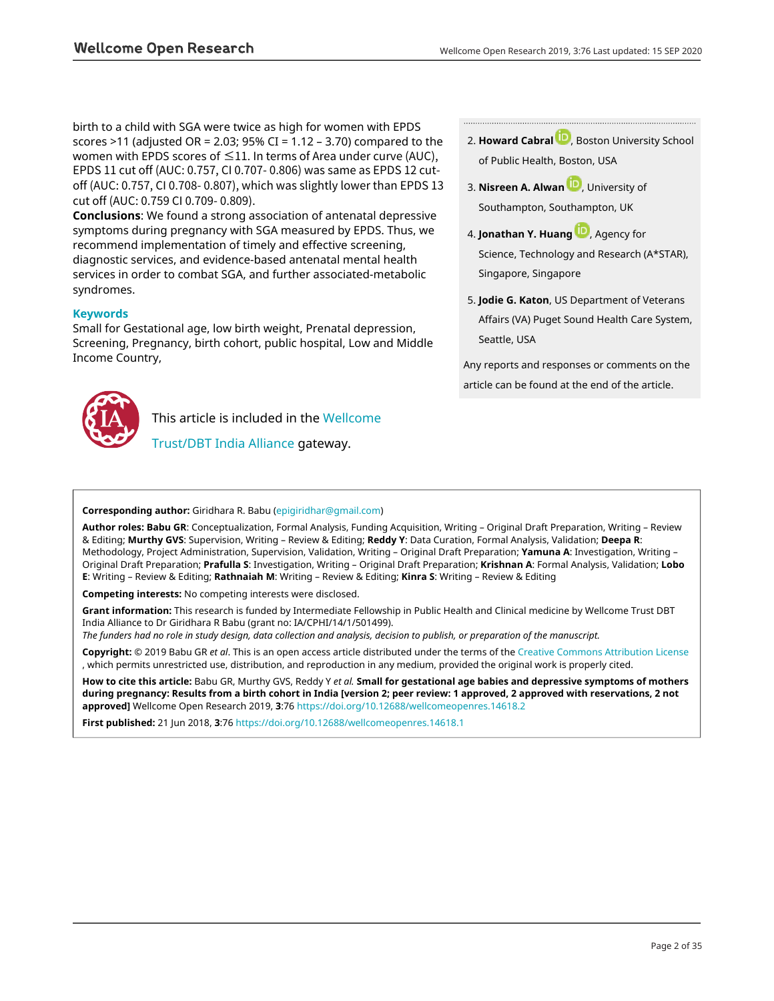birth to a child with SGA were twice as high for women with EPDS scores >11 (adjusted OR = 2.03; 95% CI = 1.12 - 3.70) compared to the women with EPDS scores of  $\leq$ 11. In terms of Area under curve (AUC), EPDS 11 cut off (AUC: 0.757, CI 0.707- 0.806) was same as EPDS 12 cutoff (AUC: 0.757, CI 0.708- 0.807), which was slightly lower than EPDS 13 cut off (AUC: 0.759 CI 0.709- 0.809).

**Conclusions**: We found a strong association of antenatal depressive symptoms during pregnancy with SGA measured by EPDS. Thus, we recommend implementation of timely and effective screening, diagnostic services, and evidence-based antenatal mental health services in order to combat SGA, and further associated-metabolic syndromes.

### **Keywords**

Small for Gestational age, low birth weight, Prenatal depression, Screening, Pregnancy, birth cohort, public hospital, Low and Middle Income Country,



This article is included in the [Wellcome](https://wellcomeopenresearch.org/gateways/ia)

[Trust/DBT India Alliance](https://wellcomeopenresearch.org/gateways/ia) gateway.

**Howard Cabral** [,](https://orcid.org/0000-0002-1185-8331) Boston University School 2. of Public Health, Boston, USA

- **3. Nisreen A. Alwan U.,** University of Southampton, Southampton, UK
- 4. **Jonathan Y. Huang U.**[,](https://orcid.org/0000-0002-5901-8403) Agency for Science, Technology and Research (A\*STAR), Singapore, Singapore
- **Jodie G. Katon**, US Department of Veterans 5. Affairs (VA) Puget Sound Health Care System, Seattle, USA

Any reports and responses or comments on the article can be found at the end of the article.

### **Corresponding author:** Giridhara R. Babu ([epigiridhar@gmail.com](mailto:epigiridhar@gmail.com))

**Author roles: Babu GR**: Conceptualization, Formal Analysis, Funding Acquisition, Writing – Original Draft Preparation, Writing – Review & Editing; **Murthy GVS**: Supervision, Writing – Review & Editing; **Reddy Y**: Data Curation, Formal Analysis, Validation; **Deepa R**: Methodology, Project Administration, Supervision, Validation, Writing – Original Draft Preparation; **Yamuna A**: Investigation, Writing – Original Draft Preparation; **Prafulla S**: Investigation, Writing – Original Draft Preparation; **Krishnan A**: Formal Analysis, Validation; **Lobo E**: Writing – Review & Editing; **Rathnaiah M**: Writing – Review & Editing; **Kinra S**: Writing – Review & Editing

**Competing interests:** No competing interests were disclosed.

**Grant information:** This research is funded by Intermediate Fellowship in Public Health and Clinical medicine by Wellcome Trust DBT India Alliance to Dr Giridhara R Babu (grant no: IA/CPHI/14/1/501499).

*The funders had no role in study design, data collection and analysis, decision to publish, or preparation of the manuscript.*

**Copyright:** © 2019 Babu GR *et al*. This is an open access article distributed under the terms of the [Creative Commons Attribution License](http://creativecommons.org/licenses/by/4.0/) , which permits unrestricted use, distribution, and reproduction in any medium, provided the original work is properly cited.

**How to cite this article:** Babu GR, Murthy GVS, Reddy Y *et al.* **Small for gestational age babies and depressive symptoms of mothers during pregnancy: Results from a birth cohort in India [version 2; peer review: 1 approved, 2 approved with reservations, 2 not approved]** Wellcome Open Research 2019, **3**:76 <https://doi.org/10.12688/wellcomeopenres.14618.2>

**First published:** 21 Jun 2018, **3**:76 <https://doi.org/10.12688/wellcomeopenres.14618.1>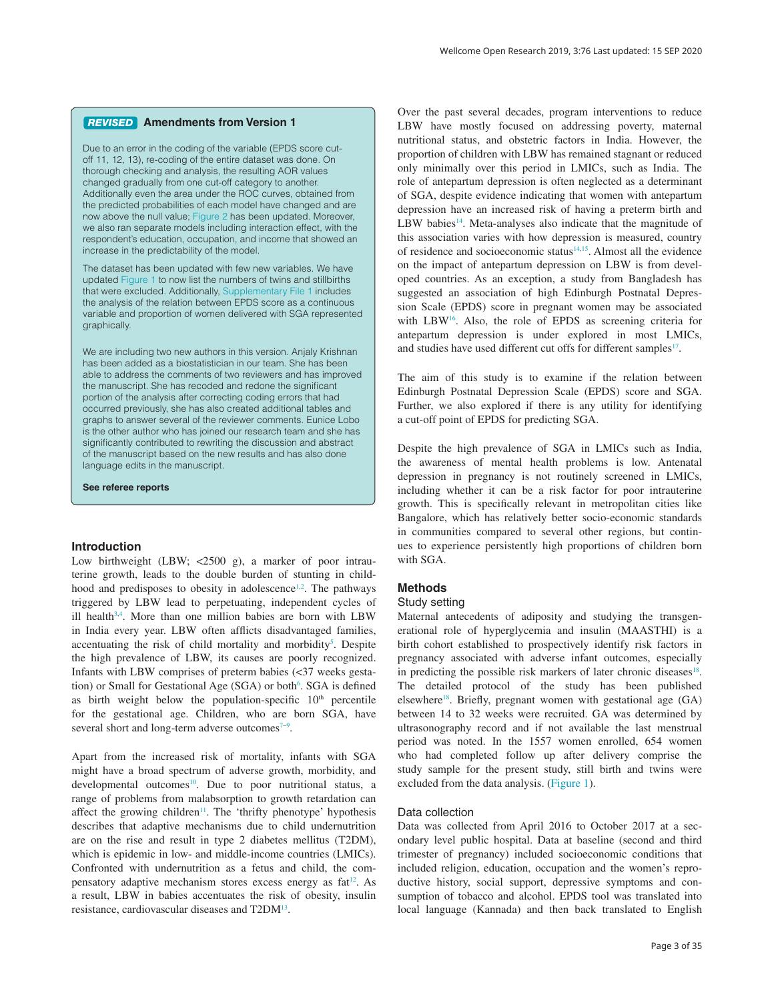#### **Amendments from Version 1** *REVISED*

Due to an error in the coding of the variable (EPDS score cutoff 11, 12, 13), re-coding of the entire dataset was done. On thorough checking and analysis, the resulting AOR values changed gradually from one cut-off category to another. Additionally even the area under the ROC curves, obtained from the predicted probabilities of each model have changed and are now above the null value; [Figure 2](#page-9-0) has been updated. Moreover, we also ran separate models including interaction effect, with the respondent's education, occupation, and income that showed an increase in the predictability of the model.

The dataset has been updated with few new variables. We have updated [Figure 1](#page-3-0) to now list the numbers of twins and stillbirths that were excluded. Additionally, [Supplementary File 1](#page-10-0) includes the analysis of the relation between EPDS score as a continuous variable and proportion of women delivered with SGA represented graphically.

We are including two new authors in this version. Anjaly Krishnan has been added as a biostatistician in our team. She has been able to address the comments of two reviewers and has improved the manuscript. She has recoded and redone the significant portion of the analysis after correcting coding errors that had occurred previously, she has also created additional tables and graphs to answer several of the reviewer comments. Eunice Lobo is the other author who has joined our research team and she has significantly contributed to rewriting the discussion and abstract of the manuscript based on the new results and has also done language edits in the manuscript.

**See referee reports**

#### **Introduction**

Low birthweight (LBW; <2500 g), a marker of poor intrauterine growth, leads to the double burden of stunting in childhood and predisposes to obesity in adolescence<sup>1,2</sup>. The pathways triggered by LBW lead to perpetuating, independent cycles of ill health<sup>3,4</sup>. More than one million babies are born with LBW in India every year. LBW often afflicts disadvantaged families, accentuating the risk of child mortality and morbidity<sup>5</sup>. Despite the high prevalence of LBW, its causes are poorly recognized. Infants with LBW comprises of preterm babies (<37 weeks gestation) or Small for Gestational Age (SGA) or both<sup>6</sup>. SGA is defined as birth weight below the population-specific  $10<sup>th</sup>$  percentile for the gestational age. Children, who are born SGA, have several short and long-term adverse outcomes $7-9$ .

Apart from the increased risk of mortality, infants with SGA might have a broad spectrum of adverse growth, morbidity, and developmental outcomes<sup>10</sup>. Due to poor nutritional status, a range of problems from malabsorption to growth retardation can affect the growing children<sup>11</sup>. The 'thrifty phenotype' hypothesis describes that adaptive mechanisms due to child undernutrition are on the rise and result in type 2 diabetes mellitus (T2DM), which is epidemic in low- and middle-income countries (LMICs). Confronted with undernutrition as a fetus and child, the compensatory adaptive mechanism stores excess energy as fat<sup>12</sup>. As a result, LBW in babies accentuates the risk of obesity, insulin resistance, cardiovascular diseases and T2D[M13.](#page-11-0)

Over the past several decades, program interventions to reduce LBW have mostly focused on addressing poverty, maternal nutritional status, and obstetric factors in India. However, the proportion of children with LBW has remained stagnant or reduced only minimally over this period in LMICs, such as India. The role of antepartum depression is often neglected as a determinant of SGA, despite evidence indicating that women with antepartum depression have an increased risk of having a preterm birth and LBW babies<sup>[14](#page-11-0)</sup>. Meta-analyses also indicate that the magnitude of this association varies with how depression is measured, country of residence and socioeconomic status<sup>[14,15](#page-11-0)</sup>. Almost all the evidence on the impact of antepartum depression on LBW is from developed countries. As an exception, a study from Bangladesh has suggested an association of high Edinburgh Postnatal Depression Scale (EPDS) score in pregnant women may be associated with LB[W16.](#page-11-0) Also, the role of EPDS as screening criteria for antepartum depression is under explored in most LMICs, and studies have used different cut offs for different samples<sup>[17](#page-11-0)</sup>.

The aim of this study is to examine if the relation between Edinburgh Postnatal Depression Scale (EPDS) score and SGA. Further, we also explored if there is any utility for identifying a cut-off point of EPDS for predicting SGA.

Despite the high prevalence of SGA in LMICs such as India, the awareness of mental health problems is low. Antenatal depression in pregnancy is not routinely screened in LMICs, including whether it can be a risk factor for poor intrauterine growth. This is specifically relevant in metropolitan cities like Bangalore, which has relatively better socio-economic standards in communities compared to several other regions, but continues to experience persistently high proportions of children born with SGA.

## **Methods**

### Study setting

Maternal antecedents of adiposity and studying the transgenerational role of hyperglycemia and insulin (MAASTHI) is a birth cohort established to prospectively identify risk factors in pregnancy associated with adverse infant outcomes, especially in predicting the possible risk markers of later chronic diseases $18$ . The detailed protocol of the study has been published elsewhere<sup>18</sup>. Briefly, pregnant women with gestational age  $(GA)$ between 14 to 32 weeks were recruited. GA was determined by ultrasonography record and if not available the last menstrual period was noted. In the 1557 women enrolled, 654 women who had completed follow up after delivery comprise the study sample for the present study, still birth and twins were excluded from the data analysis. ([Figure 1](#page-3-0)).

#### Data collection

Data was collected from April 2016 to October 2017 at a secondary level public hospital. Data at baseline (second and third trimester of pregnancy) included socioeconomic conditions that included religion, education, occupation and the women's reproductive history, social support, depressive symptoms and consumption of tobacco and alcohol. EPDS tool was translated into local language (Kannada) and then back translated to English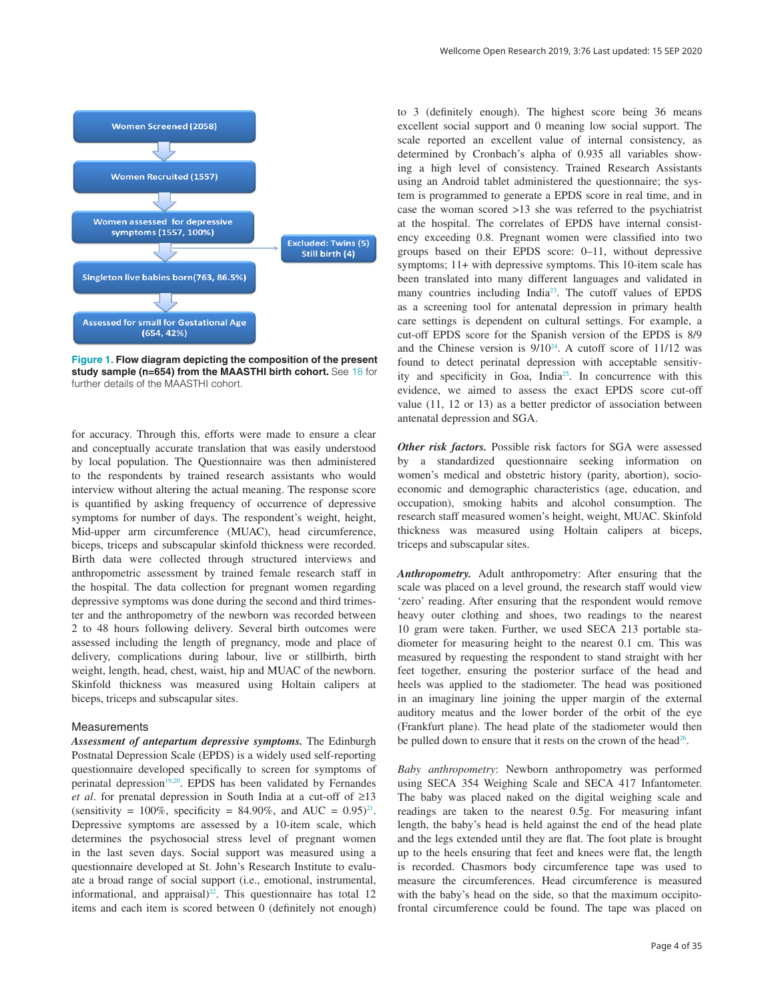<span id="page-3-0"></span>

**Figure 1. Flow diagram depicting the composition of the present study sample (n=654) from the MAASTHI birth cohort.** See [18](#page-11-0) for further details of the MAASTHI cohort.

for accuracy. Through this, efforts were made to ensure a clear and conceptually accurate translation that was easily understood by local population. The Questionnaire was then administered to the respondents by trained research assistants who would interview without altering the actual meaning. The response score is quantified by asking frequency of occurrence of depressive symptoms for number of days. The respondent's weight, height, Mid-upper arm circumference (MUAC), head circumference, biceps, triceps and subscapular skinfold thickness were recorded. Birth data were collected through structured interviews and anthropometric assessment by trained female research staff in the hospital. The data collection for pregnant women regarding depressive symptoms was done during the second and third trimester and the anthropometry of the newborn was recorded between 2 to 48 hours following delivery. Several birth outcomes were assessed including the length of pregnancy, mode and place of delivery, complications during labour, live or stillbirth, birth weight, length, head, chest, waist, hip and MUAC of the newborn. Skinfold thickness was measured using Holtain calipers at biceps, triceps and subscapular sites.

#### **Measurements**

*Assessment of antepartum depressive symptoms.* The Edinburgh Postnatal Depression Scale (EPDS) is a widely used self-reporting questionnaire developed specifically to screen for symptoms of perinatal depression $19,20$ . EPDS has been validated by Fernandes *et al*. for prenatal depression in South India at a cut-off of ≥13 (sensitivity =  $100\%$ , specificity = 84.90%, and AUC =  $0.95$ )<sup>21</sup>. Depressive symptoms are assessed by a 10-item scale, which determines the psychosocial stress level of pregnant women in the last seven days. Social support was measured using a questionnaire developed at St. John's Research Institute to evaluate a broad range of social support (i.e., emotional, instrumental, informational, and appraisal) $^{22}$ . This questionnaire has total 12 items and each item is scored between 0 (definitely not enough)

to 3 (definitely enough). The highest score being 36 means excellent social support and 0 meaning low social support. The scale reported an excellent value of internal consistency, as determined by Cronbach's alpha of 0.935 all variables showing a high level of consistency. Trained Research Assistants using an Android tablet administered the questionnaire; the system is programmed to generate a EPDS score in real time, and in case the woman scored >13 she was referred to the psychiatrist at the hospital. The correlates of EPDS have internal consistency exceeding 0.8. Pregnant women were classified into two groups based on their EPDS score: 0–11, without depressive symptoms; 11+ with depressive symptoms. This 10-item scale has been translated into many different languages and validated in many countries including Indi[a23.](#page-11-0) The cutoff values of EPDS as a screening tool for antenatal depression in primary health care settings is dependent on cultural settings. For example, a cut-off EPDS score for the Spanish version of the EPDS is 8/9 and the Chinese version is  $9/10^{24}$  $9/10^{24}$  $9/10^{24}$ . A cutoff score of 11/12 was found to detect perinatal depression with acceptable sensitivity and specificity in Goa, India<sup>25</sup>. In concurrence with this evidence, we aimed to assess the exact EPDS score cut-off value (11, 12 or 13) as a better predictor of association between antenatal depression and SGA.

*Other risk factors.* Possible risk factors for SGA were assessed by a standardized questionnaire seeking information on women's medical and obstetric history (parity, abortion), socioeconomic and demographic characteristics (age, education, and occupation), smoking habits and alcohol consumption. The research staff measured women's height, weight, MUAC. Skinfold thickness was measured using Holtain calipers at biceps, triceps and subscapular sites.

*Anthropometry.* Adult anthropometry: After ensuring that the scale was placed on a level ground, the research staff would view 'zero' reading. After ensuring that the respondent would remove heavy outer clothing and shoes, two readings to the nearest 10 gram were taken. Further, we used SECA 213 portable stadiometer for measuring height to the nearest 0.1 cm. This was measured by requesting the respondent to stand straight with her feet together, ensuring the posterior surface of the head and heels was applied to the stadiometer. The head was positioned in an imaginary line joining the upper margin of the external auditory meatus and the lower border of the orbit of the eye (Frankfurt plane). The head plate of the stadiometer would then be pulled down to ensure that it rests on the crown of the head<sup>[26](#page-11-0)</sup>.

*Baby anthropometry*: Newborn anthropometry was performed using SECA 354 Weighing Scale and SECA 417 Infantometer. The baby was placed naked on the digital weighing scale and readings are taken to the nearest 0.5g. For measuring infant length, the baby's head is held against the end of the head plate and the legs extended until they are flat. The foot plate is brought up to the heels ensuring that feet and knees were flat, the length is recorded. Chasmors body circumference tape was used to measure the circumferences. Head circumference is measured with the baby's head on the side, so that the maximum occipitofrontal circumference could be found. The tape was placed on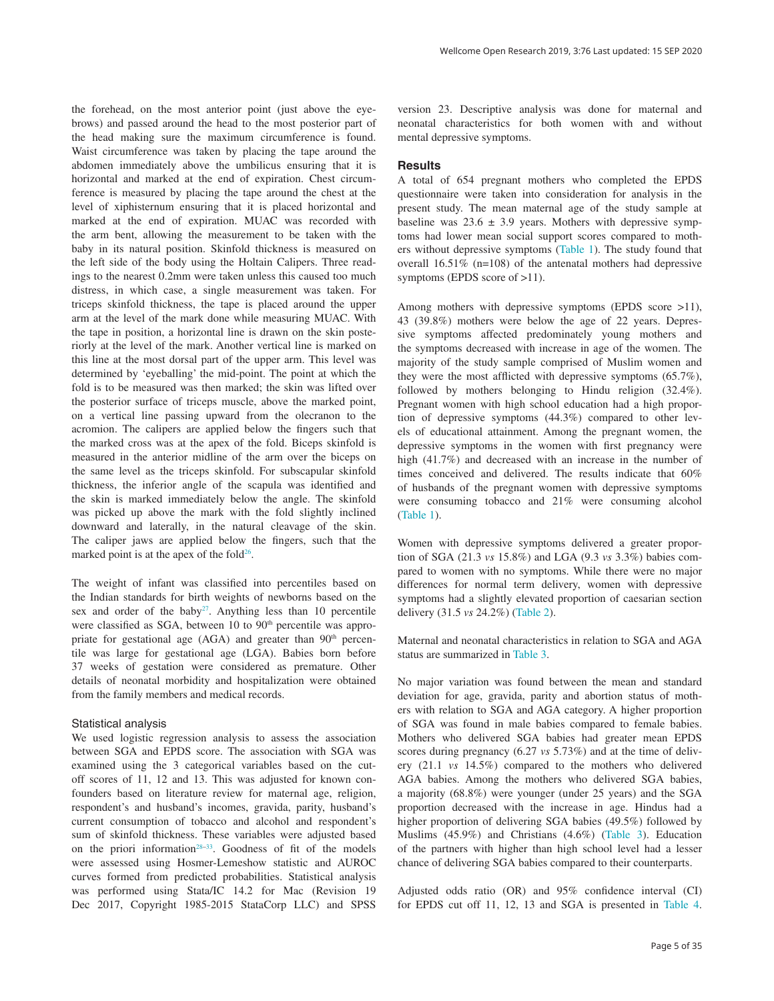the forehead, on the most anterior point (just above the eyebrows) and passed around the head to the most posterior part of the head making sure the maximum circumference is found. Waist circumference was taken by placing the tape around the abdomen immediately above the umbilicus ensuring that it is horizontal and marked at the end of expiration. Chest circumference is measured by placing the tape around the chest at the level of xiphisternum ensuring that it is placed horizontal and marked at the end of expiration. MUAC was recorded with the arm bent, allowing the measurement to be taken with the baby in its natural position. Skinfold thickness is measured on the left side of the body using the Holtain Calipers. Three readings to the nearest 0.2mm were taken unless this caused too much distress, in which case, a single measurement was taken. For triceps skinfold thickness, the tape is placed around the upper arm at the level of the mark done while measuring MUAC. With the tape in position, a horizontal line is drawn on the skin posteriorly at the level of the mark. Another vertical line is marked on this line at the most dorsal part of the upper arm. This level was determined by 'eyeballing' the mid-point. The point at which the fold is to be measured was then marked; the skin was lifted over the posterior surface of triceps muscle, above the marked point, on a vertical line passing upward from the olecranon to the acromion. The calipers are applied below the fingers such that the marked cross was at the apex of the fold. Biceps skinfold is measured in the anterior midline of the arm over the biceps on the same level as the triceps skinfold. For subscapular skinfold thickness, the inferior angle of the scapula was identified and the skin is marked immediately below the angle. The skinfold was picked up above the mark with the fold slightly inclined downward and laterally, in the natural cleavage of the skin. The caliper jaws are applied below the fingers, such that the marked point is at the apex of the fold $26$ .

The weight of infant was classified into percentiles based on the Indian standards for birth weights of newborns based on the sex and order of the baby<sup>[27](#page-11-0)</sup>. Anything less than 10 percentile were classified as SGA, between 10 to 90<sup>th</sup> percentile was appropriate for gestational age (AGA) and greater than 90<sup>th</sup> percentile was large for gestational age (LGA). Babies born before 37 weeks of gestation were considered as premature. Other details of neonatal morbidity and hospitalization were obtained from the family members and medical records.

### Statistical analysis

We used logistic regression analysis to assess the association between SGA and EPDS score. The association with SGA was examined using the 3 categorical variables based on the cutoff scores of 11, 12 and 13. This was adjusted for known confounders based on literature review for maternal age, religion, respondent's and husband's incomes, gravida, parity, husband's current consumption of tobacco and alcohol and respondent's sum of skinfold thickness. These variables were adjusted based on the priori information<sup>28-33</sup>. Goodness of fit of the models were assessed using Hosmer-Lemeshow statistic and AUROC curves formed from predicted probabilities. Statistical analysis was performed using Stata/IC 14.2 for Mac (Revision 19 Dec 2017, Copyright 1985-2015 StataCorp LLC) and SPSS

version 23. Descriptive analysis was done for maternal and neonatal characteristics for both women with and without mental depressive symptoms.

#### **Results**

A total of 654 pregnant mothers who completed the EPDS questionnaire were taken into consideration for analysis in the present study. The mean maternal age of the study sample at baseline was  $23.6 \pm 3.9$  years. Mothers with depressive symptoms had lower mean social support scores compared to mothers without depressive symptoms ([Table 1](#page-5-0)). The study found that overall 16.51% (n=108) of the antenatal mothers had depressive symptoms (EPDS score of >11).

Among mothers with depressive symptoms (EPDS score >11), 43 (39.8%) mothers were below the age of 22 years. Depressive symptoms affected predominately young mothers and the symptoms decreased with increase in age of the women. The majority of the study sample comprised of Muslim women and they were the most afflicted with depressive symptoms (65.7%), followed by mothers belonging to Hindu religion (32.4%). Pregnant women with high school education had a high proportion of depressive symptoms (44.3%) compared to other levels of educational attainment. Among the pregnant women, the depressive symptoms in the women with first pregnancy were high (41.7%) and decreased with an increase in the number of times conceived and delivered. The results indicate that 60% of husbands of the pregnant women with depressive symptoms were consuming tobacco and 21% were consuming alcohol ([Table 1](#page-5-0)).

Women with depressive symptoms delivered a greater proportion of SGA (21.3 *vs* 15.8%) and LGA (9.3 *vs* 3.3%) babies compared to women with no symptoms. While there were no major differences for normal term delivery, women with depressive symptoms had a slightly elevated proportion of caesarian section delivery (31.5 *vs* 24.2%) [\(Table 2\)](#page-6-0).

Maternal and neonatal characteristics in relation to SGA and AGA status are summarized in [Table 3](#page-7-0).

No major variation was found between the mean and standard deviation for age, gravida, parity and abortion status of mothers with relation to SGA and AGA category. A higher proportion of SGA was found in male babies compared to female babies. Mothers who delivered SGA babies had greater mean EPDS scores during pregnancy (6.27 *vs* 5.73%) and at the time of delivery (21.1 *vs* 14.5%) compared to the mothers who delivered AGA babies. Among the mothers who delivered SGA babies, a majority (68.8%) were younger (under 25 years) and the SGA proportion decreased with the increase in age. Hindus had a higher proportion of delivering SGA babies (49.5%) followed by Muslims (45.9%) and Christians (4.6%) [\(Table 3\)](#page-7-0). Education of the partners with higher than high school level had a lesser chance of delivering SGA babies compared to their counterparts.

Adjusted odds ratio (OR) and 95% confidence interval (CI) for EPDS cut off 11, 12, 13 and SGA is presented in [Table 4](#page-8-0).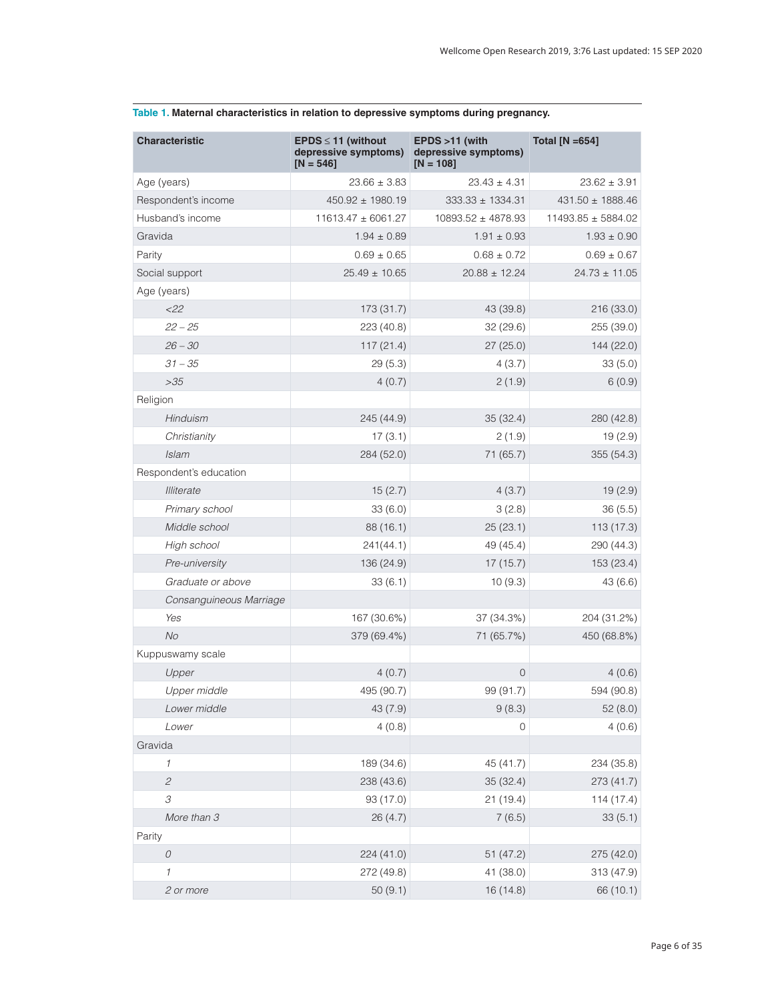| <b>Characteristic</b>       | $EPDS \le 11$ (without<br>depressive symptoms)<br>$[N = 546]$ | $EPDS > 11$ (with<br>depressive symptoms)<br>$IN = 108$ | <b>Total [N =654]</b>  |
|-----------------------------|---------------------------------------------------------------|---------------------------------------------------------|------------------------|
| Age (years)                 | $23.66 \pm 3.83$                                              | $23.43 \pm 4.31$                                        | $23.62 \pm 3.91$       |
| Respondent's income         | $450.92 \pm 1980.19$                                          | $333.33 \pm 1334.31$                                    | $431.50 \pm 1888.46$   |
| Husband's income            | $11613.47 \pm 6061.27$                                        | $10893.52 \pm 4878.93$                                  | $11493.85 \pm 5884.02$ |
| Gravida                     | $1.94 \pm 0.89$                                               | $1.91 \pm 0.93$                                         | $1.93 \pm 0.90$        |
| Parity                      | $0.69 \pm 0.65$                                               | $0.68 \pm 0.72$                                         | $0.69 \pm 0.67$        |
| Social support              | $25.49 \pm 10.65$                                             | $20.88 \pm 12.24$                                       | $24.73 \pm 11.05$      |
| Age (years)                 |                                                               |                                                         |                        |
| $<$ 22                      | 173 (31.7)                                                    | 43 (39.8)                                               | 216 (33.0)             |
| $22 - 25$                   | 223 (40.8)                                                    | 32(29.6)                                                | 255 (39.0)             |
| $26 - 30$                   | 117(21.4)                                                     | 27(25.0)                                                | 144 (22.0)             |
| $31 - 35$                   | 29(5.3)                                                       | 4(3.7)                                                  | 33(5.0)                |
| >35                         | 4(0.7)                                                        | 2(1.9)                                                  | 6(0.9)                 |
| Religion                    |                                                               |                                                         |                        |
| Hinduism                    | 245 (44.9)                                                    | 35(32.4)                                                | 280 (42.8)             |
| Christianity                | 17(3.1)                                                       | 2(1.9)                                                  | 19 (2.9)               |
| Islam                       | 284 (52.0)                                                    | 71 (65.7)                                               | 355 (54.3)             |
| Respondent's education      |                                                               |                                                         |                        |
| <b>Illiterate</b>           | 15(2.7)                                                       | 4(3.7)                                                  | 19(2.9)                |
| Primary school              | 33(6.0)                                                       | 3(2.8)                                                  | 36(5.5)                |
| Middle school               | 88 (16.1)                                                     | 25(23.1)                                                | 113(17.3)              |
| High school                 | 241(44.1)                                                     | 49 (45.4)                                               | 290 (44.3)             |
| Pre-university              | 136 (24.9)                                                    | 17(15.7)                                                | 153 (23.4)             |
| Graduate or above           | 33(6.1)                                                       | 10(9.3)                                                 | 43(6.6)                |
| Consanguineous Marriage     |                                                               |                                                         |                        |
| Yes                         | 167 (30.6%)                                                   | 37 (34.3%)                                              | 204 (31.2%)            |
| <b>No</b>                   | 379 (69.4%)                                                   | 71 (65.7%)                                              | 450 (68.8%)            |
| Kuppuswamy scale            |                                                               |                                                         |                        |
| Upper                       | 4(0.7)                                                        | $\mathbf 0$                                             | 4(0.6)                 |
| Upper middle                | 495 (90.7)                                                    | 99 (91.7)                                               | 594 (90.8)             |
| Lower middle                | 43 (7.9)                                                      | 9(8.3)                                                  | 52(8.0)                |
| Lower                       | 4(0.8)                                                        | 0                                                       | 4(0.6)                 |
| Gravida                     |                                                               |                                                         |                        |
| $\mathcal I$                | 189 (34.6)                                                    | 45 (41.7)                                               | 234 (35.8)             |
| $\mathcal{L}_{\mathcal{L}}$ | 238 (43.6)                                                    | 35 (32.4)                                               | 273 (41.7)             |
| 3                           | 93 (17.0)                                                     | 21(19.4)                                                | 114 (17.4)             |
| More than 3                 | 26(4.7)                                                       | 7(6.5)                                                  | 33(5.1)                |
| Parity                      |                                                               |                                                         |                        |
| $\cal O$                    | 224 (41.0)                                                    | 51(47.2)                                                | 275 (42.0)             |
| 1                           | 272 (49.8)                                                    | 41 (38.0)                                               | 313 (47.9)             |
| 2 or more                   | 50(9.1)                                                       | 16 (14.8)                                               | 66 (10.1)              |

### <span id="page-5-0"></span>**Table 1. Maternal characteristics in relation to depressive symptoms during pregnancy.**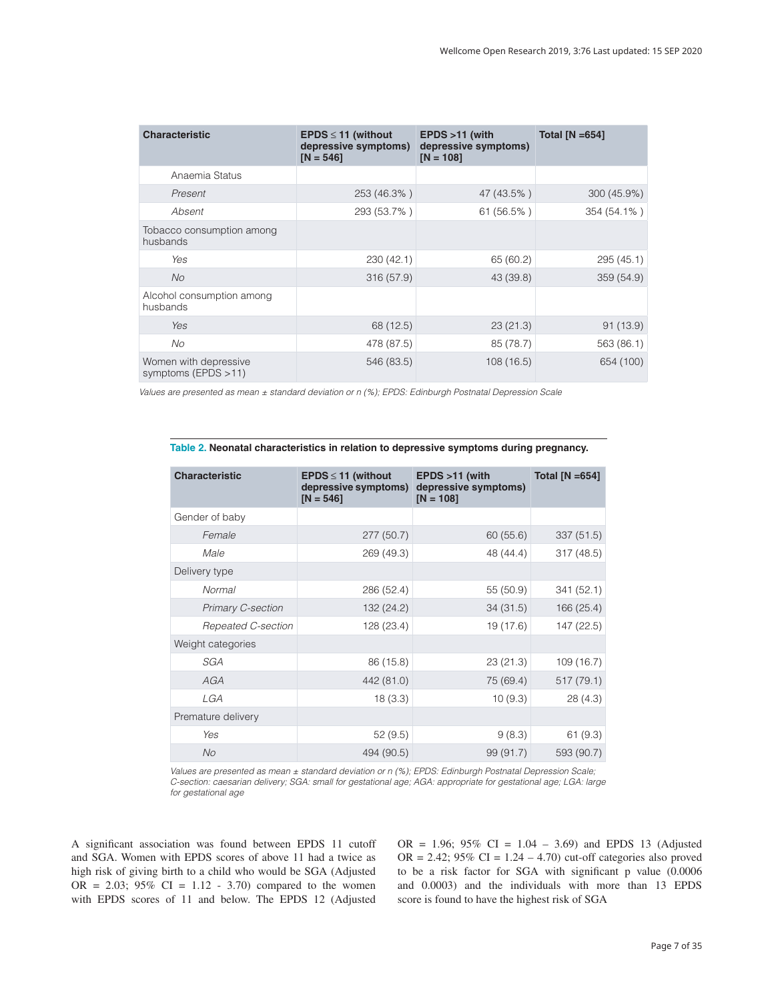<span id="page-6-0"></span>

| <b>Characteristic</b>                        | <b>EPDS</b> $\leq$ 11 (without<br>depressive symptoms)<br>$IN = 5461$ | $EPDS > 11$ (with<br>depressive symptoms)<br>$[N = 108]$ | Total $[N = 654]$ |
|----------------------------------------------|-----------------------------------------------------------------------|----------------------------------------------------------|-------------------|
| Anaemia Status                               |                                                                       |                                                          |                   |
| Present                                      | 253 (46.3%)                                                           | 47 (43.5%)                                               | 300 (45.9%)       |
| Absent                                       | 293 (53.7%)                                                           | 61 (56.5%)                                               | 354 (54.1%)       |
| Tobacco consumption among<br>husbands        |                                                                       |                                                          |                   |
| Yes                                          | 230(42.1)                                                             | 65 (60.2)                                                | 295(45.1)         |
| No                                           | 316 (57.9)                                                            | 43 (39.8)                                                | 359 (54.9)        |
| Alcohol consumption among<br>husbands        |                                                                       |                                                          |                   |
| Yes                                          | 68 (12.5)                                                             | 23(21.3)                                                 | 91(13.9)          |
| No                                           | 478 (87.5)                                                            | 85 (78.7)                                                | 563 (86.1)        |
| Women with depressive<br>symptoms (EPDS >11) | 546 (83.5)                                                            | 108(16.5)                                                | 654 (100)         |

*Values are presented as mean ± standard deviation or n (%); EPDS: Edinburgh Postnatal Depression Scale*

| <b>Characteristic</b> | <b>EPDS</b> $\leq$ 11 (without<br>depressive symptoms)<br>$[N = 546]$ | EPDS >11 (with<br>depressive symptoms)<br>$[N = 108]$ | Total $[N = 654]$ |
|-----------------------|-----------------------------------------------------------------------|-------------------------------------------------------|-------------------|
| Gender of baby        |                                                                       |                                                       |                   |
| Female                | 277(50.7)                                                             | 60(55.6)                                              | 337 (51.5)        |
| Male                  | 269 (49.3)                                                            | 48 (44.4)                                             | 317 (48.5)        |
| Delivery type         |                                                                       |                                                       |                   |
| Normal                | 286 (52.4)                                                            | 55 (50.9)                                             | 341 (52.1)        |
| Primary C-section     | 132 (24.2)                                                            | 34(31.5)                                              | 166 (25.4)        |
| Repeated C-section    | 128 (23.4)                                                            | 19 (17.6)                                             | 147 (22.5)        |
| Weight categories     |                                                                       |                                                       |                   |
| SGA                   | 86 (15.8)                                                             | 23(21.3)                                              | 109 (16.7)        |
| <b>AGA</b>            | 442 (81.0)                                                            | 75 (69.4)                                             | 517(79.1)         |
| LGA                   | 18(3.3)                                                               | 10(9.3)                                               | 28(4.3)           |
| Premature delivery    |                                                                       |                                                       |                   |
| Yes                   | 52(9.5)                                                               | 9(8.3)                                                | 61(9.3)           |
| No.                   | 494 (90.5)                                                            | 99(91.7)                                              | 593 (90.7)        |

**Table 2. Neonatal characteristics in relation to depressive symptoms during pregnancy.**

*Values are presented as mean ± standard deviation or n (%); EPDS: Edinburgh Postnatal Depression Scale; C-section: caesarian delivery; SGA: small for gestational age; AGA: appropriate for gestational age; LGA: large for gestational age*

A significant association was found between EPDS 11 cutoff and SGA. Women with EPDS scores of above 11 had a twice as high risk of giving birth to a child who would be SGA (Adjusted OR = 2.03;  $95\%$  CI = 1.12 - 3.70) compared to the women with EPDS scores of 11 and below. The EPDS 12 (Adjusted OR = 1.96;  $95\%$  CI = 1.04 – 3.69) and EPDS 13 (Adjusted OR = 2.42;  $95\%$  CI = 1.24 – 4.70) cut-off categories also proved to be a risk factor for SGA with significant p value (0.0006 and 0.0003) and the individuals with more than 13 EPDS score is found to have the highest risk of SGA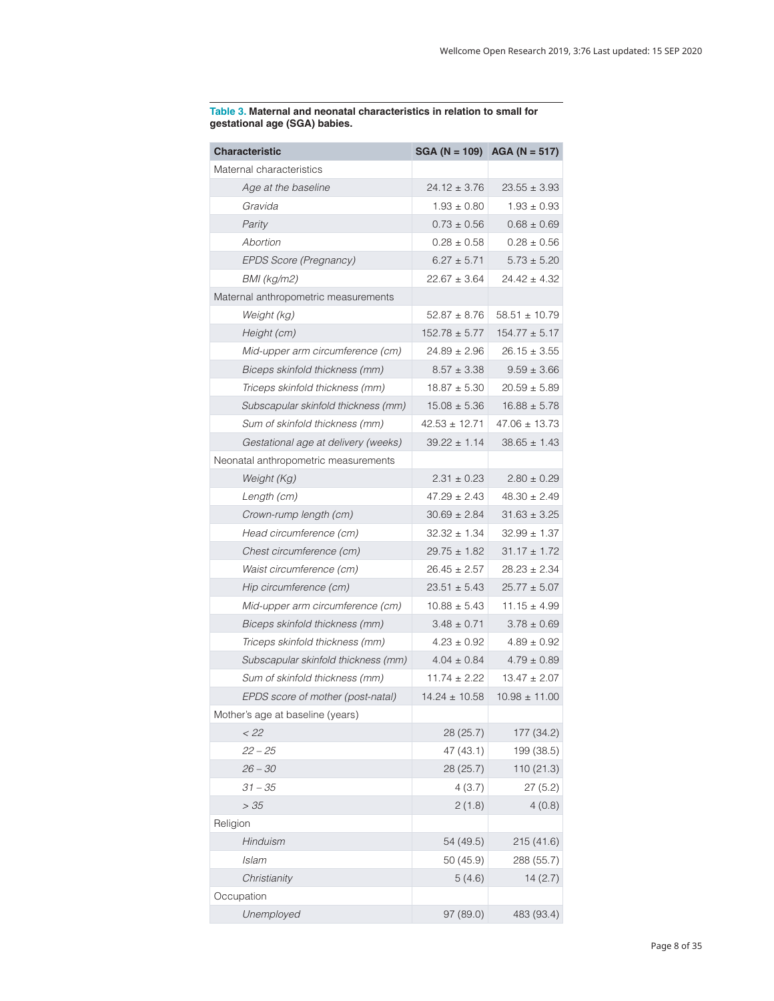| <b>Characteristic</b>                |                   | SGA (N = 109) AGA (N = 517) |
|--------------------------------------|-------------------|-----------------------------|
| Maternal characteristics             |                   |                             |
| Age at the baseline                  | $24.12 \pm 3.76$  | $23.55 \pm 3.93$            |
| Gravida                              | $1.93 \pm 0.80$   | $1.93 \pm 0.93$             |
| Parity                               | $0.73 \pm 0.56$   | $0.68 \pm 0.69$             |
| Abortion                             | $0.28 \pm 0.58$   | $0.28 \pm 0.56$             |
| EPDS Score (Pregnancy)               | $6.27 \pm 5.71$   | $5.73 \pm 5.20$             |
| <b>BMI</b> (kg/m2)                   | $22.67 \pm 3.64$  | $24.42 \pm 4.32$            |
| Maternal anthropometric measurements |                   |                             |
| Weight (kg)                          | $52.87 \pm 8.76$  | $58.51 \pm 10.79$           |
| Height (cm)                          | $152.78 \pm 5.77$ | $154.77 \pm 5.17$           |
| Mid-upper arm circumference (cm)     | $24.89 \pm 2.96$  | $26.15 \pm 3.55$            |
| Biceps skinfold thickness (mm)       | $8.57 \pm 3.38$   | $9.59 \pm 3.66$             |
| Triceps skinfold thickness (mm)      | $18.87 \pm 5.30$  | $20.59 \pm 5.89$            |
| Subscapular skinfold thickness (mm)  | $15.08 \pm 5.36$  | $16.88 \pm 5.78$            |
| Sum of skinfold thickness (mm)       | $42.53 \pm 12.71$ | $47.06 \pm 13.73$           |
| Gestational age at delivery (weeks)  | $39.22 \pm 1.14$  | $38.65 \pm 1.43$            |
| Neonatal anthropometric measurements |                   |                             |
| Weight (Kg)                          | $2.31 \pm 0.23$   | $2.80 \pm 0.29$             |
| Length (cm)                          | $47.29 \pm 2.43$  | $48.30 \pm 2.49$            |
| Crown-rump length (cm)               | $30.69 \pm 2.84$  | $31.63 \pm 3.25$            |
| Head circumference (cm)              | $32.32 \pm 1.34$  | $32.99 \pm 1.37$            |
| Chest circumference (cm)             | $29.75 \pm 1.82$  | $31.17 \pm 1.72$            |
| Waist circumference (cm)             | $26.45 \pm 2.57$  | $28.23 \pm 2.34$            |
| Hip circumference (cm)               | $23.51 \pm 5.43$  | $25.77 \pm 5.07$            |
| Mid-upper arm circumference (cm)     | $10.88 \pm 5.43$  | $11.15 \pm 4.99$            |
| Biceps skinfold thickness (mm)       | $3.48 \pm 0.71$   | $3.78 \pm 0.69$             |
| Triceps skinfold thickness (mm)      | $4.23 \pm 0.92$   | $4.89 \pm 0.92$             |
| Subscapular skinfold thickness (mm)  | $4.04 \pm 0.84$   | $4.79 \pm 0.89$             |
| Sum of skinfold thickness (mm)       | $11.74 \pm 2.22$  | $13.47 \pm 2.07$            |
| EPDS score of mother (post-natal)    | $14.24 \pm 10.58$ | $10.98 \pm 11.00$           |
| Mother's age at baseline (years)     |                   |                             |
| $<$ 22                               | 28 (25.7)         | 177 (34.2)                  |
| $22 - 25$                            | 47 (43.1)         | 199 (38.5)                  |
| $26 - 30$                            | 28 (25.7)         | 110 (21.3)                  |
| $31 - 35$                            | 4(3.7)            | 27(5.2)                     |
| >35                                  | 2(1.8)            | 4(0.8)                      |
| Religion                             |                   |                             |
| Hinduism                             | 54 (49.5)         | 215 (41.6)                  |
| Islam                                | 50 (45.9)         | 288 (55.7)                  |
| Christianity                         | 5(4.6)            | 14(2.7)                     |
| Occupation                           |                   |                             |
| Unemployed                           | 97 (89.0)         | 483 (93.4)                  |

<span id="page-7-0"></span>**Table 3. Maternal and neonatal characteristics in relation to small for gestational age (SGA) babies.**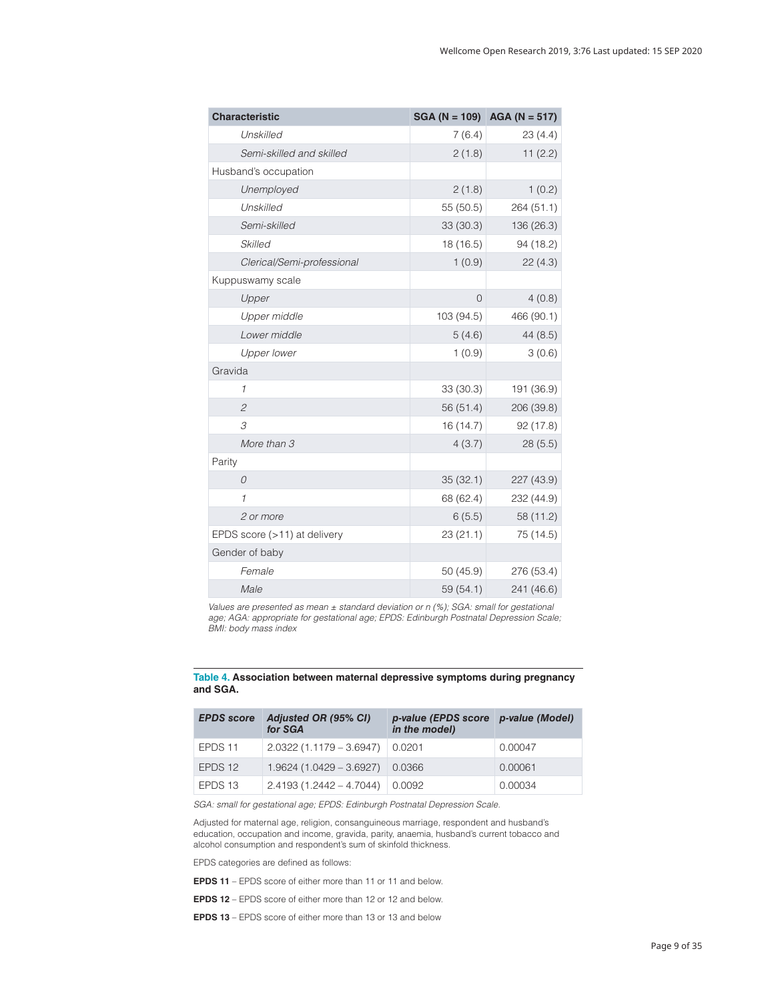<span id="page-8-0"></span>

| <b>Characteristic</b>        |           | SGA (N = 109) AGA (N = 517) |
|------------------------------|-----------|-----------------------------|
| Unskilled                    | 7(6.4)    | 23(4.4)                     |
| Semi-skilled and skilled     | 2(1.8)    | 11(2.2)                     |
| Husband's occupation         |           |                             |
| Unemployed                   | 2(1.8)    | 1(0.2)                      |
| Unskilled                    | 55 (50.5) | 264 (51.1)                  |
| Semi-skilled                 | 33(30.3)  | 136 (26.3)                  |
| Skilled                      | 18 (16.5) | 94 (18.2)                   |
| Clerical/Semi-professional   | 1(0.9)    | 22(4.3)                     |
| Kuppuswamy scale             |           |                             |
| Upper                        | 0         | 4(0.8)                      |
| Upper middle                 | 103(94.5) | 466 (90.1)                  |
| Lower middle                 | 5(4.6)    | 44 (8.5)                    |
| <b>Upper lower</b>           | 1(0.9)    | 3(0.6)                      |
| Gravida                      |           |                             |
| 1                            | 33 (30.3) | 191 (36.9)                  |
| $\overline{c}$               | 56(51.4)  | 206 (39.8)                  |
| 3                            | 16 (14.7) | 92(17.8)                    |
| More than 3                  | 4(3.7)    | 28(5.5)                     |
| Parity                       |           |                             |
| $\Omega$                     | 35(32.1)  | 227 (43.9)                  |
| $\mathcal I$                 | 68 (62.4) | 232 (44.9)                  |
| 2 or more                    | 6(5.5)    | 58 (11.2)                   |
| EPDS score (>11) at delivery | 23(21.1)  | 75 (14.5)                   |
| Gender of baby               |           |                             |
| Female                       | 50 (45.9) | 276 (53.4)                  |
| Male                         | 59(54.1)  | 241 (46.6)                  |

*Values are presented as mean ± standard deviation or n (%); SGA: small for gestational age; AGA: appropriate for gestational age; EPDS: Edinburgh Postnatal Depression Scale; BMI: body mass index*

#### **Table 4. Association between maternal depressive symptoms during pregnancy and SGA.**

| <b>EPDS</b> score | Adjusted OR (95% CI)<br>for SGA | p-value (EPDS score p-value (Model)<br>in the model) |         |
|-------------------|---------------------------------|------------------------------------------------------|---------|
| EPDS 11           | $2.0322(1.1179 - 3.6947)$       | 0.0201                                               | 0.00047 |
| EPDS 12           | $1.9624(1.0429 - 3.6927)$       | 0.0366                                               | 0.00061 |
| EPDS 13           | $2.4193(1.2442 - 4.7044)$       | 0.0092                                               | 0.00034 |

*SGA: small for gestational age; EPDS: Edinburgh Postnatal Depression Scale.*

Adjusted for maternal age, religion, consanguineous marriage, respondent and husband's education, occupation and income, gravida, parity, anaemia, husband's current tobacco and alcohol consumption and respondent's sum of skinfold thickness.

EPDS categories are defined as follows:

**EPDS 11** – EPDS score of either more than 11 or 11 and below.

**EPDS 12** – EPDS score of either more than 12 or 12 and below.

**EPDS 13** – EPDS score of either more than 13 or 13 and below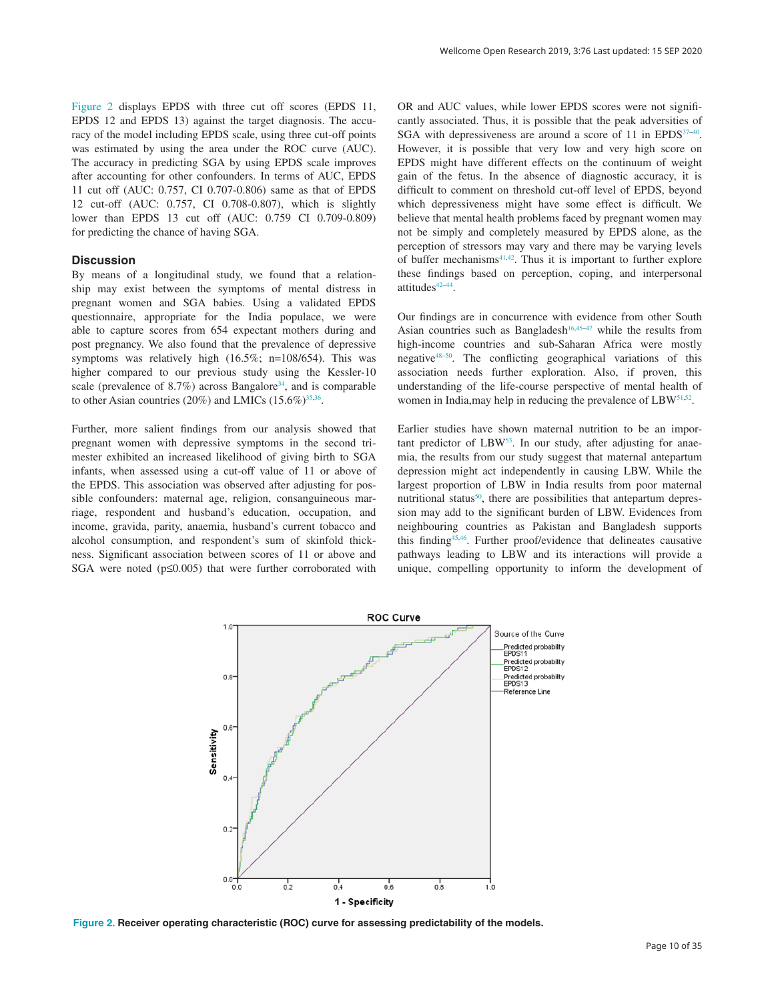<span id="page-9-0"></span>Figure 2 displays EPDS with three cut off scores (EPDS 11, EPDS 12 and EPDS 13) against the target diagnosis. The accuracy of the model including EPDS scale, using three cut-off points was estimated by using the area under the ROC curve (AUC). The accuracy in predicting SGA by using EPDS scale improves after accounting for other confounders. In terms of AUC, EPDS 11 cut off (AUC: 0.757, CI 0.707-0.806) same as that of EPDS 12 cut-off (AUC: 0.757, CI 0.708-0.807), which is slightly lower than EPDS 13 cut off (AUC: 0.759 CI 0.709-0.809) for predicting the chance of having SGA.

### **Discussion**

By means of a longitudinal study, we found that a relationship may exist between the symptoms of mental distress in pregnant women and SGA babies. Using a validated EPDS questionnaire, appropriate for the India populace, we were able to capture scores from 654 expectant mothers during and post pregnancy. We also found that the prevalence of depressive symptoms was relatively high (16.5%; n=108/654). This was higher compared to our previous study using the Kessler-10 scale (prevalence of 8.7%) across Bangalore<sup>34</sup>, and is comparable to other Asian countries (20%) and LMICs (15.6%)<sup>35,36</sup>.

Further, more salient findings from our analysis showed that pregnant women with depressive symptoms in the second trimester exhibited an increased likelihood of giving birth to SGA infants, when assessed using a cut-off value of 11 or above of the EPDS. This association was observed after adjusting for possible confounders: maternal age, religion, consanguineous marriage, respondent and husband's education, occupation, and income, gravida, parity, anaemia, husband's current tobacco and alcohol consumption, and respondent's sum of skinfold thickness. Significant association between scores of 11 or above and SGA were noted (p≤0.005) that were further corroborated with

OR and AUC values, while lower EPDS scores were not significantly associated. Thus, it is possible that the peak adversities of SGA with depressiveness are around a score of 11 in EPDS $37-40$ . However, it is possible that very low and very high score on EPDS might have different effects on the continuum of weight gain of the fetus. In the absence of diagnostic accuracy, it is difficult to comment on threshold cut-off level of EPDS, beyond which depressiveness might have some effect is difficult. We believe that mental health problems faced by pregnant women may not be simply and completely measured by EPDS alone, as the perception of stressors may vary and there may be varying levels of buffer mechanisms $41,42$ . Thus it is important to further explore these findings based on perception, coping, and interpersonal attitudes $42-44$ .

Our findings are in concurrence with evidence from other South Asian countries such as Bangladesh<sup>16,45–47</sup> while the results from high-income countries and sub-Saharan Africa were mostly negative[48–50.](#page-12-0) The conflicting geographical variations of this association needs further exploration. Also, if proven, this understanding of the life-course perspective of mental health of women in India, may help in reducing the prevalence of LBW<sup>[51,52](#page-12-0)</sup>.

Earlier studies have shown maternal nutrition to be an important predictor of  $LBW^{53}$ . In our study, after adjusting for anaemia, the results from our study suggest that maternal antepartum depression might act independently in causing LBW. While the largest proportion of LBW in India results from poor maternal nutritional status<sup>[50](#page-12-0)</sup>, there are possibilities that antepartum depression may add to the significant burden of LBW. Evidences from neighbouring countries as Pakistan and Bangladesh supports this findin[g45,46](#page-12-0). Further proof/evidence that delineates causative pathways leading to LBW and its interactions will provide a unique, compelling opportunity to inform the development of



**Figure 2. Receiver operating characteristic (ROC) curve for assessing predictability of the models.**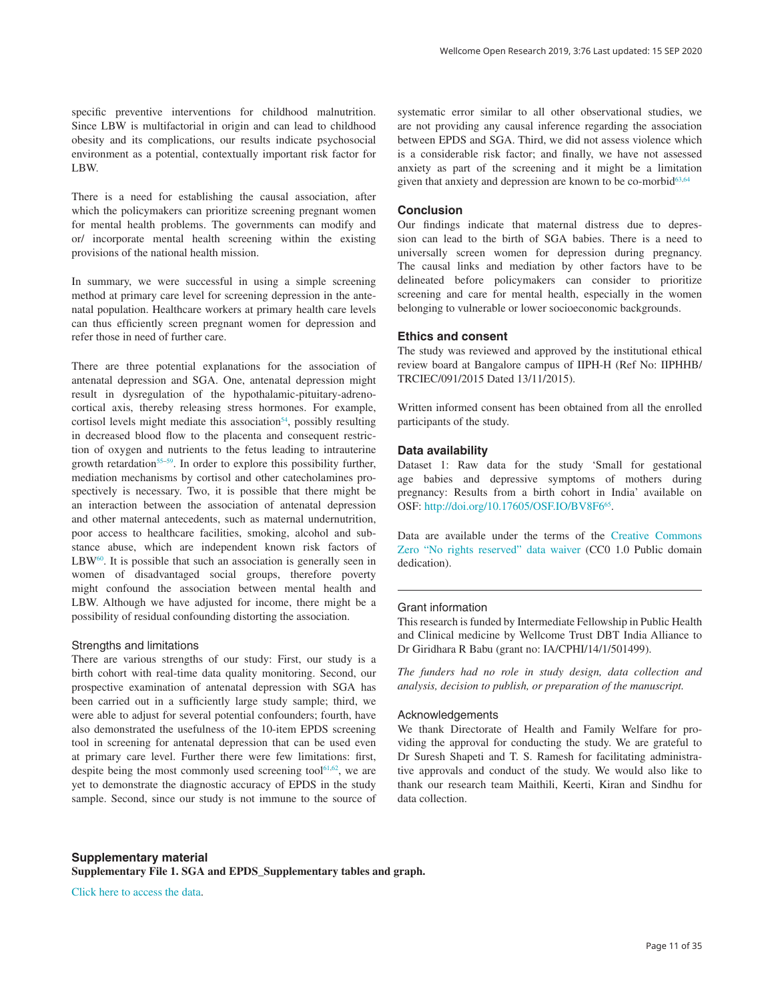<span id="page-10-0"></span>specific preventive interventions for childhood malnutrition. Since LBW is multifactorial in origin and can lead to childhood obesity and its complications, our results indicate psychosocial environment as a potential, contextually important risk factor for LBW.

There is a need for establishing the causal association, after which the policymakers can prioritize screening pregnant women for mental health problems. The governments can modify and or/ incorporate mental health screening within the existing provisions of the national health mission.

In summary, we were successful in using a simple screening method at primary care level for screening depression in the antenatal population. Healthcare workers at primary health care levels can thus efficiently screen pregnant women for depression and refer those in need of further care.

There are three potential explanations for the association of antenatal depression and SGA. One, antenatal depression might result in dysregulation of the hypothalamic-pituitary-adrenocortical axis, thereby releasing stress hormones. For example, cortisol levels might mediate this association<sup>54</sup>, possibly resulting in decreased blood flow to the placenta and consequent restriction of oxygen and nutrients to the fetus leading to intrauterine growth retardation<sup>[55–59](#page-12-0)</sup>. In order to explore this possibility further, mediation mechanisms by cortisol and other catecholamines prospectively is necessary. Two, it is possible that there might be an interaction between the association of antenatal depression and other maternal antecedents, such as maternal undernutrition, poor access to healthcare facilities, smoking, alcohol and substance abuse, which are independent known risk factors of  $LBW<sup>60</sup>$ . It is possible that such an association is generally seen in women of disadvantaged social groups, therefore poverty might confound the association between mental health and LBW. Although we have adjusted for income, there might be a possibility of residual confounding distorting the association.

### Strengths and limitations

There are various strengths of our study: First, our study is a birth cohort with real-time data quality monitoring. Second, our prospective examination of antenatal depression with SGA has been carried out in a sufficiently large study sample; third, we were able to adjust for several potential confounders; fourth, have also demonstrated the usefulness of the 10-item EPDS screening tool in screening for antenatal depression that can be used even at primary care level. Further there were few limitations: first, despite being the most commonly used screening tool $61,62$ , we are yet to demonstrate the diagnostic accuracy of EPDS in the study sample. Second, since our study is not immune to the source of systematic error similar to all other observational studies, we are not providing any causal inference regarding the association between EPDS and SGA. Third, we did not assess violence which is a considerable risk factor; and finally, we have not assessed anxiety as part of the screening and it might be a limitation given that anxiety and depression are known to be co-morbid<sup>63,64</sup>

#### **Conclusion**

Our findings indicate that maternal distress due to depression can lead to the birth of SGA babies. There is a need to universally screen women for depression during pregnancy. The causal links and mediation by other factors have to be delineated before policymakers can consider to prioritize screening and care for mental health, especially in the women belonging to vulnerable or lower socioeconomic backgrounds.

### **Ethics and consent**

The study was reviewed and approved by the institutional ethical review board at Bangalore campus of IIPH-H (Ref No: IIPHHB/ TRCIEC/091/2015 Dated 13/11/2015).

Written informed consent has been obtained from all the enrolled participants of the study.

#### **Data availability**

Dataset 1: Raw data for the study 'Small for gestational age babies and depressive symptoms of mothers during pregnancy: Results from a birth cohort in India' available on OSF: [http://doi.org/10.17605/OSF.IO/BV8F6](http://dx.doi.org/10.17605/OSF.IO/BV8F6)<sup>65</sup>.

Data are available under the terms of the [Creative Commons](http://creativecommons.org/publicdomain/zero/1.0/)  [Zero "No rights reserved" data waiver](http://creativecommons.org/publicdomain/zero/1.0/) (CC0 1.0 Public domain dedication).

#### Grant information

This research is funded by Intermediate Fellowship in Public Health and Clinical medicine by Wellcome Trust DBT India Alliance to Dr Giridhara R Babu (grant no: IA/CPHI/14/1/501499).

*The funders had no role in study design, data collection and analysis, decision to publish, or preparation of the manuscript.*

### Acknowledgements

We thank Directorate of Health and Family Welfare for providing the approval for conducting the study. We are grateful to Dr Suresh Shapeti and T. S. Ramesh for facilitating administrative approvals and conduct of the study. We would also like to thank our research team Maithili, Keerti, Kiran and Sindhu for data collection.

**Supplementary material Supplementary File 1. SGA and EPDS\_Supplementary tables and graph.**

[Click here to access the data.](https://wellcomeopenresearch.s3.amazonaws.com/supplementary/14618/6574e42d-f5ec-40ad-84d4-f548d7ed8171_Supplementary_File_1.docx)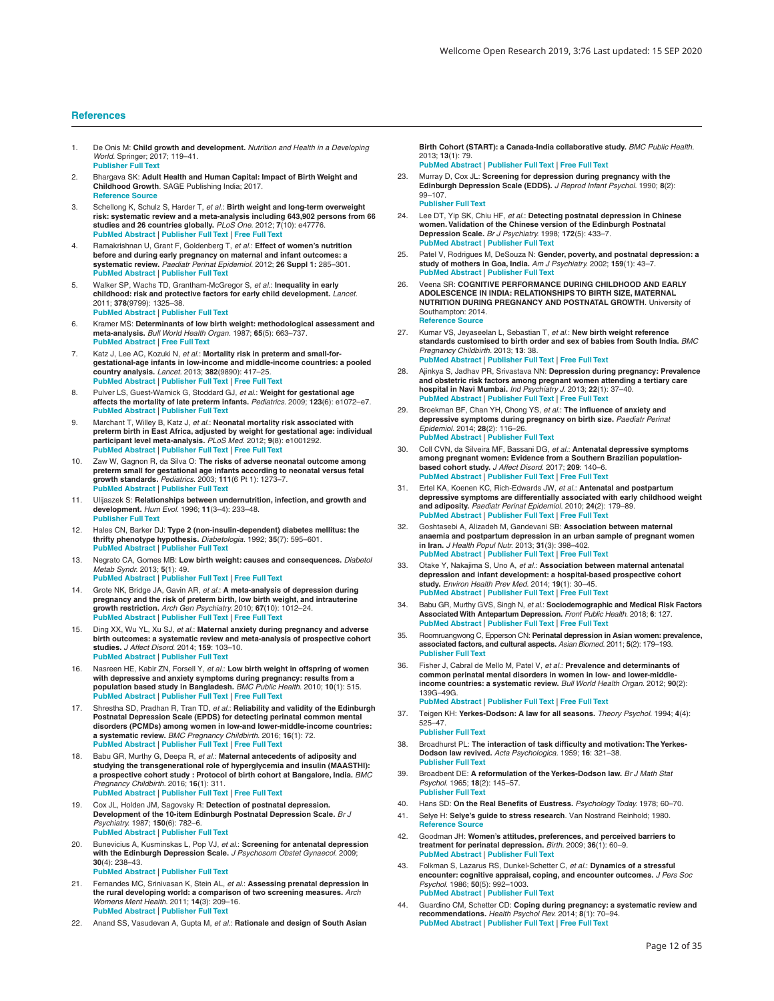#### <span id="page-11-0"></span>**References**

- 1. De Onis M: **Child growth and development.** *Nutrition and Health in a Developing World.* Springer; 2017; 119–41. **[Publisher](http://dx.doi.org/10.1007/978-3-319-43739-2_6) Full Text**
- 2. Bhargava SK: **Adult Health and Human Capital: Impact of Birth Weight and Childhood Growth**. SAGE Publishing India; 2017. **[Reference](https://books.google.co.in/books?id=9xtBDwAAQBAJ&printsec=frontcover&source=gbs_ge_summary_r&cad=0#v=onepage&q&f=false) Source**
- 3. Schellong K, Schulz S, Harder T, *et al.*: **Birth weight and long-term overweight risk: systematic review and a meta-analysis including 643,902 persons from 66** studies and 26 countries globally. *PLoS One.* 2012; 7(10): e47776.<br>PubMed [Abstract](http://www.ncbi.nlm.nih.gov/pubmed/23082214) | [Publisher](http://dx.doi.org/10.1371/journal.pone.0047776) Full Text | [Free](http://www.ncbi.nlm.nih.gov/pmc/articles/3474767) Full Text
- 4. Ramakrishnan U, Grant F, Goldenberg T, *et al*.: **Effect of women's nutrition**<br>b**efore and during early pregnancy on maternal and infant outcomes: a<br>systematic review.** *Paediatr Perinat Epidemiol. 2***012; 26 Suppl 1: 285 PubMed [Abstract](http://www.ncbi.nlm.nih.gov/pubmed/22742616)** | **[Publisher](http://dx.doi.org/10.1111/j.1365-3016.2012.01281.x) Full Text**
- 5. Walker SP, Wachs TD, Grantham-McGregor S, *et al.*: Inequality in early<br>**childhood: risk and protective factors for early child development.** *Lancet*. 2011; **378**(9799): 1325–38. **PubMed [Abstract](http://www.ncbi.nlm.nih.gov/pubmed/21944375)** | **[Publisher](http://dx.doi.org/10.1016/S0140-6736(11)60555-2) Full Text**
- 6. Kramer MS: **Determinants of low birth weight: methodological assessment and meta-analysis.** *Bull World Health Organ.* 1987; **65**(5): 663–737. **PubMed [Abstract](http://www.ncbi.nlm.nih.gov/pubmed/3322602)** | **[Free](http://www.ncbi.nlm.nih.gov/pmc/articles/2491072) Full Text**
- 7. Katz J, Lee AC, Kozuki N, *et al.*: **Mortality risk in preterm and small-forgestational-age infants in low-income and middle-income countries: a pooled country analysis.** *Lancet.* 2013; **382**(9890): 417–25. **PubMed [Abstract](http://www.ncbi.nlm.nih.gov/pubmed/23746775)** | **[Publisher](http://dx.doi.org/10.1016/S0140-6736(13)60993-9) Full Text** | **[Free](http://www.ncbi.nlm.nih.gov/pmc/articles/3796350) Full Text**
- 8. Pulver LS, Guest-Warnick G, Stoddard GJ, *et al.*: **Weight for gestational age affects the mortality of late preterm infants.** *Pediatrics.* 2009; **123**(6): e1072–e7. **PubMed [Abstract](http://www.ncbi.nlm.nih.gov/pubmed/19482740)** | **[Publisher](http://dx.doi.org/10.1542/peds.2008-3288) Full Text**
- 9. Marchant T, Willey B, Katz J, *et al.*: Neonatal mortality risk associated with<br>preterm birth in East Africa, adjusted by weight for gestational age: individual **participant level meta-analysis.** *PLoS Med.* 2012; **9**(8): e1001292. **PubMed [Abstract](http://www.ncbi.nlm.nih.gov/pubmed/22904691)** | **[Publisher](http://dx.doi.org/10.1371/journal.pmed.1001292) Full Text** | **[Free](http://www.ncbi.nlm.nih.gov/pmc/articles/3419185) Full Text**
- 10. Zaw W, Gagnon R, da Silva O: **The risks of adverse neonatal outcome among preterm small for gestational age infants according to neonatal versus fetal growth standards.** *Pediatrics.* 2003; **111**(6 Pt 1): 1273–7. **PubMed [Abstract](http://www.ncbi.nlm.nih.gov/pubmed/12777541)** | **[Publisher](http://dx.doi.org/10.1542/peds.111.6.1273) Full Text**
- 11. Ulijaszek S: **Relationships between undernutrition, infection, and growth and development.** *Hum Evol.* 1996; **11**(3–4): 233–48. **[Publisher](http://dx.doi.org/10.1007/BF02436627) Full Text**
- 12. Hales CN, Barker DJ: **Type 2 (non-insulin-dependent) diabetes mellitus: the thrifty phenotype hypothesis.** *Diabetologia.* 1992; **35**(7): 595–601. **PubMed [Abstract](http://www.ncbi.nlm.nih.gov/pubmed/1644236)** | **[Publisher](http://dx.doi.org/10.1007/BF00400248) Full Text**
- 13. Negrato CA, Gomes MB: **Low birth weight: causes and consequences.** *Diabetol Metab Syndr.* 2013; **5**(1): 49.
- **PubMed [Abstract](http://www.ncbi.nlm.nih.gov/pubmed/24128325)** | **[Publisher](http://dx.doi.org/10.1186/1758-5996-5-49) Full Text** | **[Free](http://www.ncbi.nlm.nih.gov/pmc/articles/3765917) Full Text** 14. Grote NK, Bridge JA, Gavin AR, *et al.*: **A meta-analysis of depression during**
- **pregnancy and the risk of preterm birth, low birth weight, and intrauterine growth restriction.** *Arch Gen Psychiatry.* 2010; **67**(10): 1012–24. **PubMed [Abstract](http://www.ncbi.nlm.nih.gov/pubmed/20921117)** | **[Publisher](http://dx.doi.org/10.1001/archgenpsychiatry.2010.111) Full Text** | **[Free](http://www.ncbi.nlm.nih.gov/pmc/articles/3025772) Full Text**
- 15. Ding XX, Wu YL, Xu SJ, *et al.*: **Maternal anxiety during pregnancy and adverse birth outcomes: a systematic review and meta-analysis of prospective cohort studies.** *J Affect Disord.* 2014; **159**: 103–10. **PubMed [Abstract](http://www.ncbi.nlm.nih.gov/pubmed/24679397)** | **[Publisher](http://dx.doi.org/10.1016/j.jad.2014.02.027) Full Text**
- 16. Nasreen HE, Kabir ZN, Forsell Y, *et al.*: **Low birth weight in offspring of women with depressive and anxiety symptoms during pregnancy: results from a** population based study in Bangladesh. *BMC Public Health.* 2010; 10(1): 515.<br>PubMed [Abstract](http://www.ncbi.nlm.nih.gov/pubmed/20796269) | [Publisher](http://dx.doi.org/10.1186/1471-2458-10-515) Full Text | [Free](http://www.ncbi.nlm.nih.gov/pmc/articles/2939645) Full Text
- 17. Shrestha SD, Pradhan R, Tran TD, *et al.*: **Reliability and validity of the Edinburgh Postnatal Depression Scale (EPDS) for detecting perinatal common mental disorders (PCMDs) among women in low-and lower-middle-income countries: a systematic review.** *BMC Pregnancy Childbirth.* 2016; **16**(1): 72. **PubMed [Abstract](http://www.ncbi.nlm.nih.gov/pubmed/27044437)** | **[Publisher](http://dx.doi.org/10.1186/s12884-016-0859-2) Full Text** | **[Free](http://www.ncbi.nlm.nih.gov/pmc/articles/4820998) Full Text**
- 18. Babu GR, Murthy G, Deepa R, *et al.*: **Maternal antecedents of adiposity and** studying the transgenerational role of hyperglycemia and insulin (MAASTHI):<br>a prospective cohort study : Protocol of birth cohort at Bangalore, India. *BMC Pregnancy Childbirth.* 2016; **16**(1): 311. **PubMed [Abstract](http://www.ncbi.nlm.nih.gov/pubmed/27741952)** | **[Publisher](http://dx.doi.org/10.1186/s12884-016-1088-4) Full Text** | **[Free](http://www.ncbi.nlm.nih.gov/pmc/articles/5065083) Full Text**
- 19. Cox JL, Holden JM, Sagovsky R: **Detection of postnatal depression. Development of the 10-item Edinburgh Postnatal Depression Scale.** *Br J Psychiatry.* 1987; **150**(6): 782–6. **PubMed [Abstract](http://www.ncbi.nlm.nih.gov/pubmed/3651732)** | **[Publisher](http://dx.doi.org/10.1192/bjp.150.6.782) Full Text**
- 20. Bunevicius A, Kusminskas L, Pop VJ, *et al.*: **Screening for antenatal depression with the Edinburgh Depression Scale.** *J Psychosom Obstet Gynaecol.* 2009; **30**(4): 238–43. **PubMed [Abstract](http://www.ncbi.nlm.nih.gov/pubmed/19845492)** | **[Publisher](http://dx.doi.org/10.3109/01674820903230708) Full Text**
- 21. Fernandes MC, Srinivasan K, Stein AL, *et al.*: **Assessing prenatal depression in the rural developing world: a comparison of two screening measures.** *Arch Womens Ment Health.* 2011; **14**(3): 209–16. **PubMed [Abstract](http://www.ncbi.nlm.nih.gov/pubmed/21061137)** | **[Publisher](http://dx.doi.org/10.1007/s00737-010-0190-2) Full Text**
- 22. Anand SS, Vasudevan A, Gupta M, *et al.*: **Rationale and design of South Asian**

**Birth Cohort (START): a Canada-India collaborative study.** *BMC Public Health*. 2013; **13**(1): 79.

- **PubMed [Abstract](http://www.ncbi.nlm.nih.gov/pubmed/23356884)** | **[Publisher](http://dx.doi.org/10.1186/1471-2458-13-79) Full Text** | **[Free](http://www.ncbi.nlm.nih.gov/pmc/articles/3585827) Full Text** 23. Murray D, Cox JL: **Screening for depression during pregnancy with the Edinburgh Depression Scale (EDDS).** *J Reprod Infant Psychol.* 1990; **8**(2): 99–107. **[Publisher](http://dx.doi.org/10.1080/02646839008403615) Full Text**
- 24. Lee DT, Yip SK, Chiu HF, *et al.*: **Detecting postnatal depression in Chinese women.Validation of the Chinese version of the Edinburgh Postnatal Depression Scale.** *Br J Psychiatry.* 1998; **172**(5): 433–7. **PubMed [Abstract](http://www.ncbi.nlm.nih.gov/pubmed/9747407)** | **[Publisher](http://dx.doi.org/10.1192/bjp.172.5.433) Full Text**
- 25. Patel V, Rodrigues M, DeSouza N: Gender, poverty, and postnatal depression: a<br>study of mothers in Goa, India. Am J Psychiatry. 2002; 159(1): 43–7. **PubMed [Abstract](http://www.ncbi.nlm.nih.gov/pubmed/11772688)** | **[Publisher](http://dx.doi.org/10.1176/appi.ajp.159.1.43) Full Text**
- 26. Veena SR: **COGNITIVE PERFORMANCE DURING CHILDHOOD AND EARLY ADOLESCENCE IN INDIA: RELATIONSHIPS TO BIRTH SIZE, MATERNAL NUTRITION DURING PREGNANCY AND POSTNATAL GROWTH**. University of Southampton: 2014. **[Reference](https://eprints.soton.ac.uk/385138/1/Veena_PhD Thesis Final Final.pdf) Source**
- 27. Kumar VS, Jeyaseelan L, Sebastian T, *et al.*: **New birth weight reference**<br>standards customised to birth order and sex of babies from South India. BMC *Pregnancy Childbirth.* 2013; **13**: 38. **PubMed [Abstract](http://www.ncbi.nlm.nih.gov/pubmed/23409828)** | **[Publisher](http://dx.doi.org/10.1186/1471-2393-13-38) Full Text** | **[Free](http://www.ncbi.nlm.nih.gov/pmc/articles/3583685) Full Text**
- 28. Ajinkya S, Jadhav PR, Srivastava NN: **Depression during pregnancy: Prevalence and obstetric risk factors among pregnant women attending a tertiary care hospital in Navi Mumbai.** *Ind Psychiatry J.* 2013; **22**(1): 37–40. **PubMed [Abstract](http://www.ncbi.nlm.nih.gov/pubmed/24459372)** | **[Publisher](http://dx.doi.org/10.4103/0972-6748.123615) Full Text** | **[Free](http://www.ncbi.nlm.nih.gov/pmc/articles/3895310) Full Text**
- 29. Broekman BF, Chan YH, Chong YS, *et al.*: **The influence of anxiety and depressive symptoms during pregnancy on birth size.** *Paediatr Perinat Epidemiol.* 2014; **28**(2): 116–26. **PubMed [Abstract](http://www.ncbi.nlm.nih.gov/pubmed/24266599)** | **[Publisher](http://dx.doi.org/10.1111/ppe.12096) Full Text**
- 30. Coll CVN, da Silveira MF, Bassani DG, et al.: Antenatal depressive symptoms<br>among pregnant women: Evidence from a Southern Brazilian population**based cohort study.** *J Affect Disord.* 2017; **209**: 140–6. **PubMed [Abstract](http://www.ncbi.nlm.nih.gov/pubmed/27914247)** | **[Publisher](http://dx.doi.org/10.1016/j.jad.2016.11.031) Full Text** | **[Free](http://www.ncbi.nlm.nih.gov/pmc/articles/5282400) Full Text**
- 31. Ertel KA, Koenen KC, Rich-Edwards JW, *et al.*: **Antenatal and postpartum depressive symptoms are differentially associated with early childhood weight and adiposity.** *Paediatr Perinat Epidemiol.* 2010; **24**(2): 179–89. **PubMed [Abstract](http://www.ncbi.nlm.nih.gov/pubmed/20415775)** | **[Publisher](http://dx.doi.org/10.1111/j.1365-3016.2010.01098.x) Full Text** | **[Free](http://www.ncbi.nlm.nih.gov/pmc/articles/4106300) Full Text**
- 32. Goshtasebi A, Alizadeh M, Gandevani SB: **Association between maternal anaemia and postpartum depression in an urban sample of pregnant women in Iran.** *J Health Popul Nutr.* 2013; **31**(3): 398–402. **PubMed [Abstract](http://www.ncbi.nlm.nih.gov/pubmed/24288954)** | **[Publisher](http://dx.doi.org/10.3329/jhpn.v31i3.16832) Full Text** | **[Free](http://www.ncbi.nlm.nih.gov/pmc/articles/3805890) Full Text**
- 33. Otake Y, Nakajima S, Uno A, et al.: Association between maternal antenatal<br>depression and infant development: a hospital-based prospective cohort **study.** *Environ Health Prev Med.* 2014; **19**(1): 30–45. **PubMed [Abstract](http://www.ncbi.nlm.nih.gov/pubmed/23913005)** | **[Publisher](http://dx.doi.org/10.1007/s12199-013-0353-7) Full Text** | **[Free](http://www.ncbi.nlm.nih.gov/pmc/articles/3890074) Full Text**
- 34. Babu GR, Murthy GVS, Singh N, *et al.*: **Sociodemographic and Medical Risk Factors Associated With Antepartum Depression.** *Front Public Health.* 2018; **6**: 127. **PubMed [Abstract](http://www.ncbi.nlm.nih.gov/pubmed/29770322)** | **[Publisher](http://dx.doi.org/10.3389/fpubh.2018.00127) Full Text** | **[Free](http://www.ncbi.nlm.nih.gov/pmc/articles/5941824) Full Text**
- 35. Roomruangwong C, Epperson CN: **Perinatal depression in Asian women: prevalence, associated factors, and cultural aspects.** *Asian Biomed.* 2011; **5**(2): 179–193. **[Publisher](http://dx.doi.org/10.5372/1905-7415.0502.024) Full Text**
- 36. Fisher J, Cabral de Mello M, Patel V, *et al.*: **Prevalence and determinants of common perinatal mental disorders in women in low- and lower-middleincome countries: a systematic review.** *Bull World Health Organ.* 2012; **90**(2): 139G–49G. **PubMed [Abstract](http://www.ncbi.nlm.nih.gov/pubmed/22423165)** | **[Publisher](http://dx.doi.org/10.2471/BLT.11.091850) Full Text** | **[Free](http://www.ncbi.nlm.nih.gov/pmc/articles/3302553) Full Text**
- 37. Teigen KH: **Yerkes-Dodson: A law for all seasons.** *Theory Psychol.* 1994; **4**(4): 525–47. **[Publisher](http://dx.doi.org/10.1177/0959354394044004) Full Text**
- 38. Broadhurst PL: The interaction of task difficulty and motivation: The Yerkes-**Dodson law revived.** *Acta Psychologica.* 1959; **16**: 321–38. **[Publisher](http://dx.doi.org/10.1016/0001-6918(59)90105-2) Full Text**
- 39. Broadbent DE: **A reformulation of theYerkes-Dodson law.** *Br J Math Stat Psychol.* 1965; **18**(2): 145–57. **[Publisher](http://dx.doi.org/10.1111/j.2044-8317.1965.tb00338.x) Full Text**
- 40. Hans SD: **On the Real Benefits of Eustress.** *Psychology Today.* 1978; 60–70.
- 41. Selye H: **Selye's guide to stress research**. Van Nostrand Reinhold; 1980. **[Reference](https://books.google.co.in/books/about/Selye_s_guide_to_stress_research.html?id=3aRpAAAAMAAJ&redir_esc=y) Source**
- 42. Goodman JH: **Women's attitudes, preferences, and perceived barriers to treatment for perinatal depression.** *Birth.* 2009; **36**(1): 60–9. **PubMed [Abstract](http://www.ncbi.nlm.nih.gov/pubmed/19278385)** | **[Publisher](http://dx.doi.org/10.1111/j.1523-536X.2008.00296.x) Full Text**
- 43. Folkman S, Lazarus RS, Dunkel-Schetter C, *et al.*: **Dynamics of a stressful encounter: cognitive appraisal, coping, and encounter outcomes.** *J Pers Soc Psychol.* 1986; **50**(5): 992–1003. **PubMed [Abstract](http://www.ncbi.nlm.nih.gov/pubmed/3712234)** | **[Publisher](http://dx.doi.org/10.1037/0022-3514.50.5.992) Full Text**
- 44. Guardino CM, Schetter CD: **Coping during pregnancy: a systematic review and recommendations.** *Health Psychol Rev.* 2014; **8**(1): 70–94. **PubMed [Abstract](http://www.ncbi.nlm.nih.gov/pubmed/24489596)** | **[Publisher](http://dx.doi.org/10.1080/17437199.2012.752659) Full Text** | **[Free](http://www.ncbi.nlm.nih.gov/pmc/articles/3904449) Full Text**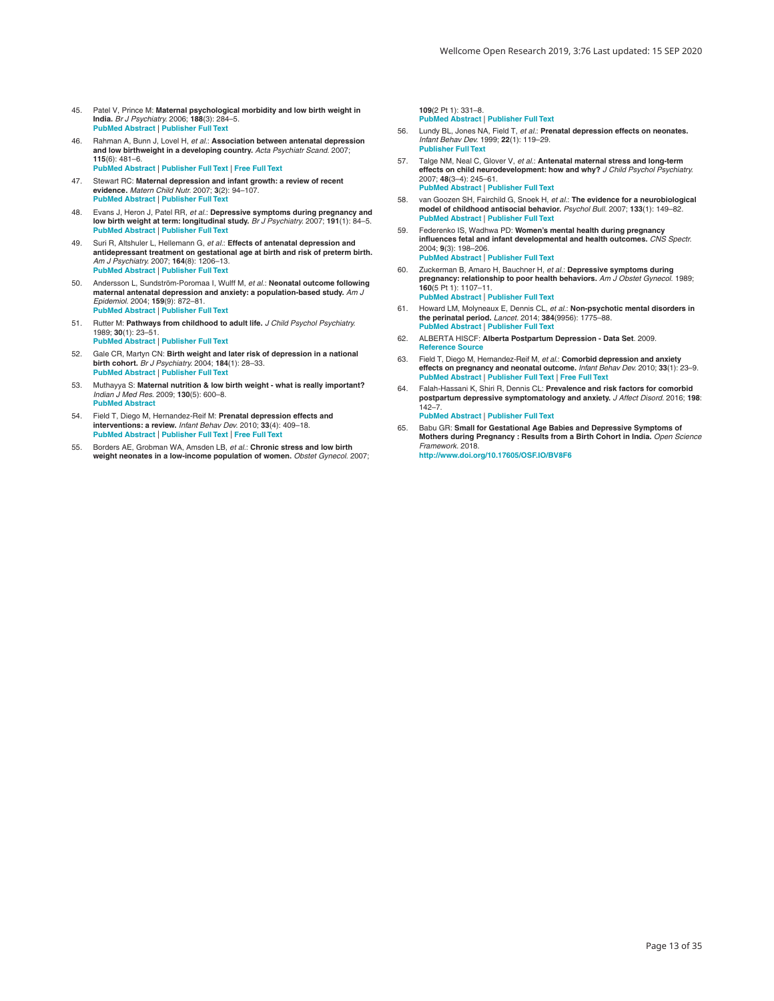- <span id="page-12-0"></span>45. Patel V, Prince M: **Maternal psychological morbidity and low birth weight in India.** *Br J Psychiatry.* 2006; **188**(3): 284–5. **PubMed [Abstract](http://www.ncbi.nlm.nih.gov/pubmed/16507972)** | **[Publisher](http://dx.doi.org/10.1192/bjp.bp.105.012096) Full Text**
- 46. Rahman A, Bunn J, Lovel H, *et al.*: **Association between antenatal depression and low birthweight in a developing country.** *Acta Psychiatr Scand.* 2007; **115**(6): 481–6. **PubMed [Abstract](http://www.ncbi.nlm.nih.gov/pubmed/17498160)** | **[Publisher](http://dx.doi.org/10.1111/j.1600-0447.2006.00950.x) Full Text** | **[Free](http://www.ncbi.nlm.nih.gov/pmc/articles/1974771) Full Text**
- 47. Stewart RC: **Maternal depression and infant growth: a review of recent evidence.** *Matern Child Nutr.* 2007; **3**(2): 94–107. **PubMed [Abstract](http://www.ncbi.nlm.nih.gov/pubmed/17355442)** | **[Publisher](http://dx.doi.org/10.1111/j.1740-8709.2007.00088.x) Full Text**
- 48. Evans J, Heron J, Patel RR, *et al.*: Depressive symptoms during pregnancy and<br>low birth weight at term: longitudinal study. Br J Psychiatry. 2007; 191(1): 84–5. **PubMed [Abstract](http://www.ncbi.nlm.nih.gov/pubmed/17602131)** | **[Publisher](http://dx.doi.org/10.1192/bjp.bp.105.016568) Full Text**
- 49. Suri R, Altshuler L, Hellemann G, *et al.*: **Effects of antenatal depression and antidepressant treatment on gestational age at birth and risk of preterm birth.** *Am J Psychiatry.* 2007; **164**(8): 1206–13. **PubMed [Abstract](http://www.ncbi.nlm.nih.gov/pubmed/17671283)** | **[Publisher](http://dx.doi.org/10.1176/appi.ajp.2007.06071172) Full Text**
- 50. Andersson L, Sundström-Poromaa I, Wulff M, *et al.*: **Neonatal outcome following maternal antenatal depression and anxiety: a population-based study.** *Am J Epidemiol.* 2004; **159**(9): 872–81. **PubMed [Abstract](http://www.ncbi.nlm.nih.gov/pubmed/15105180)** | **[Publisher](http://dx.doi.org/10.1093/aje/kwh122) Full Text**
- 51. Rutter M: **Pathways from childhood to adult life.** *J Child Psychol Psychiatry.* 1989; **30**(1): 23–51. **PubMed [Abstract](http://www.ncbi.nlm.nih.gov/pubmed/2647779)** | **[Publisher](http://dx.doi.org/10.1111/j.1469-7610.1989.tb00768.x) Full Text**
- 52. Gale CR, Martyn CN: **Birth weight and later risk of depression in a national birth cohort.** *Br J Psychiatry.* 2004; **184**(1): 28–33. **PubMed [Abstract](http://www.ncbi.nlm.nih.gov/pubmed/14702224)** | **[Publisher](http://dx.doi.org/10.1192/bjp.184.1.28) Full Text**
- 53. Muthayya S: **Maternal nutrition & low birth weight - what is really important?** *Indian J Med Res.* 2009; **130**(5): 600–8. **PubMed [Abstract](http://www.ncbi.nlm.nih.gov/pubmed/20090114)**
- 54. Field T, Diego M, Hernandez-Reif M: **Prenatal depression effects and interventions: a review.** *Infant Behav Dev.* 2010; **33**(4): 409–18. **PubMed [Abstract](http://www.ncbi.nlm.nih.gov/pubmed/20471091)** | **[Publisher](http://dx.doi.org/10.1016/j.infbeh.2010.04.005) Full Text** | **[Free](http://www.ncbi.nlm.nih.gov/pmc/articles/2933409) Full Text**
- 55. Borders AE, Grobman WA, Amsden LB, *et al.*: **Chronic stress and low birth weight neonates in a low-income population of women.** *Obstet Gynecol.* 2007;

**109**(2 Pt 1): 331–8. **PubMed [Abstract](http://www.ncbi.nlm.nih.gov/pubmed/17267833)** | **[Publisher](http://dx.doi.org/10.1097/01.AOG.0000250535.97920.b5) Full Text**

- 56. Lundy BL, Jones NA, Field T, *et al.*: **Prenatal depression effects on neonates.** *Infant Behav Dev.* 1999; **22**(1): 119–29. **[Publisher](http://dx.doi.org/10.1016/S0163-6383(99)80009-5) Full Text**
- 57. Talge NM, Neal C, Glover V, *et al.*: **Antenatal maternal stress and long-term effects on child neurodevelopment: how and why?** *J Child Psychol Psychiatry.* 2007; **48**(3–4): 245–61. **PubMed [Abstract](http://www.ncbi.nlm.nih.gov/pubmed/17355398)** | **[Publisher](http://dx.doi.org/10.1111/j.1469-7610.2006.01714.x) Full Text**
- 58. van Goozen SH, Fairchild G, Snoek H, *et al.*: **The evidence for a neurobiological model of childhood antisocial behavior.** *Psychol Bull.* 2007; **133**(1): 149–82. **PubMed [Abstract](http://www.ncbi.nlm.nih.gov/pubmed/17201574)** | **[Publisher](http://dx.doi.org/10.1037/0033-2909.133.1.149) Full Text**
- 59. Federenko IS, Wadhwa PD: **Women's mental health during pregnancy influences fetal and infant developmental and health outcomes.** *CNS Spectr.* 2004; **9**(3): 198–206. **PubMed [Abstract](http://www.ncbi.nlm.nih.gov/pubmed/14999160)** | **[Publisher](http://dx.doi.org/10.1017/S1092852900008993) Full Text**
- 60. Zuckerman B, Amaro H, Bauchner H, *et al.*: **Depressive symptoms during pregnancy: relationship to poor health behaviors.** *Am J Obstet Gynecol.* 1989; **160**(5 Pt 1): 1107–11. **PubMed [Abstract](http://www.ncbi.nlm.nih.gov/pubmed/2729387)** | **[Publisher](http://dx.doi.org/10.1016/0002-9378(89)90170-1) Full Text**
- 61. Howard LM, Molyneaux E, Dennis CL, *et al.*: **Non-psychotic mental disorders in the perinatal period.** *Lancet.* 2014; **384**(9956): 1775–88. **PubMed [Abstract](http://www.ncbi.nlm.nih.gov/pubmed/25455248)** | **[Publisher](http://dx.doi.org/10.1016/S0140-6736(14)61276-9) Full Text**
- 62. ALBERTA HISCF: **Alberta Postpartum Depression - Data Set**. 2009. **[Reference](http://www.health.alberta.ca/documents/HISCA-Perinatal-Postpartum.pdf) Source**
- 63. Field T, Diego M, Hernandez-Reif M, *et al.*: **Comorbid depression and anxiety**<br>effects on pregnancy and neonatal outcome. Infant Behav Dev. 2010; 33(1): 23–9. **PubMed [Abstract](http://www.ncbi.nlm.nih.gov/pubmed/19945170)** | **[Publisher](http://dx.doi.org/10.1016/j.infbeh.2009.10.004) Full Text** | **[Free](http://www.ncbi.nlm.nih.gov/pmc/articles/2819543) Full Text**
- 64. Falah-Hassani K, Shiri R, Dennis CL: **Prevalence and risk factors for comorbid postpartum depressive symptomatology and anxiety.** *J Affect Disord.* 2016; **198**: 142–7. **PubMed [Abstract](http://www.ncbi.nlm.nih.gov/pubmed/27016657)** | **[Publisher](http://dx.doi.org/10.1016/j.jad.2016.03.010) Full Text**
- 65. Babu GR: **Small for Gestational Age Babies and Depressive Symptoms of Mothers during Pregnancy : Results from a Birth Cohort in India.** *Open Science Framework.* 2018. **<http://www.doi.org/10.17605/OSF.IO/BV8F6>**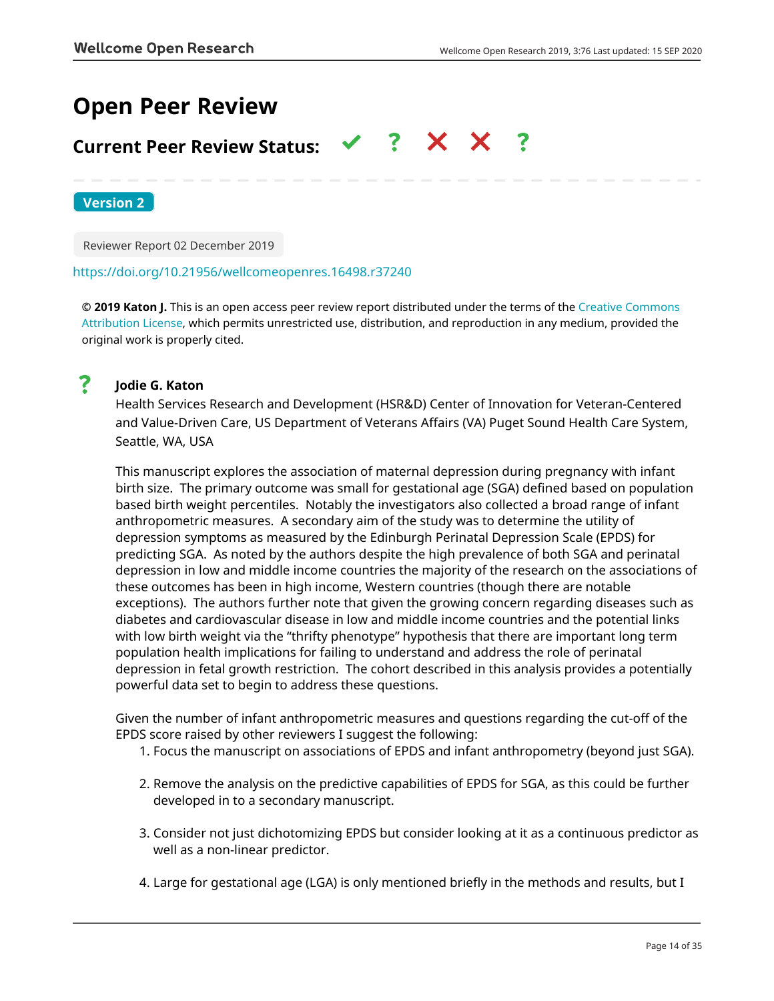# **Open Peer Review**

#### $\checkmark$  ?  $\checkmark$   $\checkmark$ **Current Peer Review Status:**

**Version 2**

Reviewer Report 02 December 2019

## <https://doi.org/10.21956/wellcomeopenres.16498.r37240>

**© 2019 Katon J.** This is an open access peer review report distributed under the terms of the [Creative Commons](https://creativecommons.org/licenses/by/4.0/) [Attribution License](https://creativecommons.org/licenses/by/4.0/), which permits unrestricted use, distribution, and reproduction in any medium, provided the original work is properly cited.



# **Jodie G. Katon**

Health Services Research and Development (HSR&D) Center of Innovation for Veteran-Centered and Value-Driven Care, US Department of Veterans Affairs (VA) Puget Sound Health Care System, Seattle, WA, USA

This manuscript explores the association of maternal depression during pregnancy with infant birth size. The primary outcome was small for gestational age (SGA) defined based on population based birth weight percentiles. Notably the investigators also collected a broad range of infant anthropometric measures. A secondary aim of the study was to determine the utility of depression symptoms as measured by the Edinburgh Perinatal Depression Scale (EPDS) for predicting SGA. As noted by the authors despite the high prevalence of both SGA and perinatal depression in low and middle income countries the majority of the research on the associations of these outcomes has been in high income, Western countries (though there are notable exceptions). The authors further note that given the growing concern regarding diseases such as diabetes and cardiovascular disease in low and middle income countries and the potential links with low birth weight via the "thrifty phenotype" hypothesis that there are important long term population health implications for failing to understand and address the role of perinatal depression in fetal growth restriction. The cohort described in this analysis provides a potentially powerful data set to begin to address these questions.

Given the number of infant anthropometric measures and questions regarding the cut-off of the EPDS score raised by other reviewers I suggest the following:

- 1. Focus the manuscript on associations of EPDS and infant anthropometry (beyond just SGA).
- 2. Remove the analysis on the predictive capabilities of EPDS for SGA, as this could be further developed in to a secondary manuscript.
- 3. Consider not just dichotomizing EPDS but consider looking at it as a continuous predictor as well as a non-linear predictor.
- 4. Large for gestational age (LGA) is only mentioned briefly in the methods and results, but I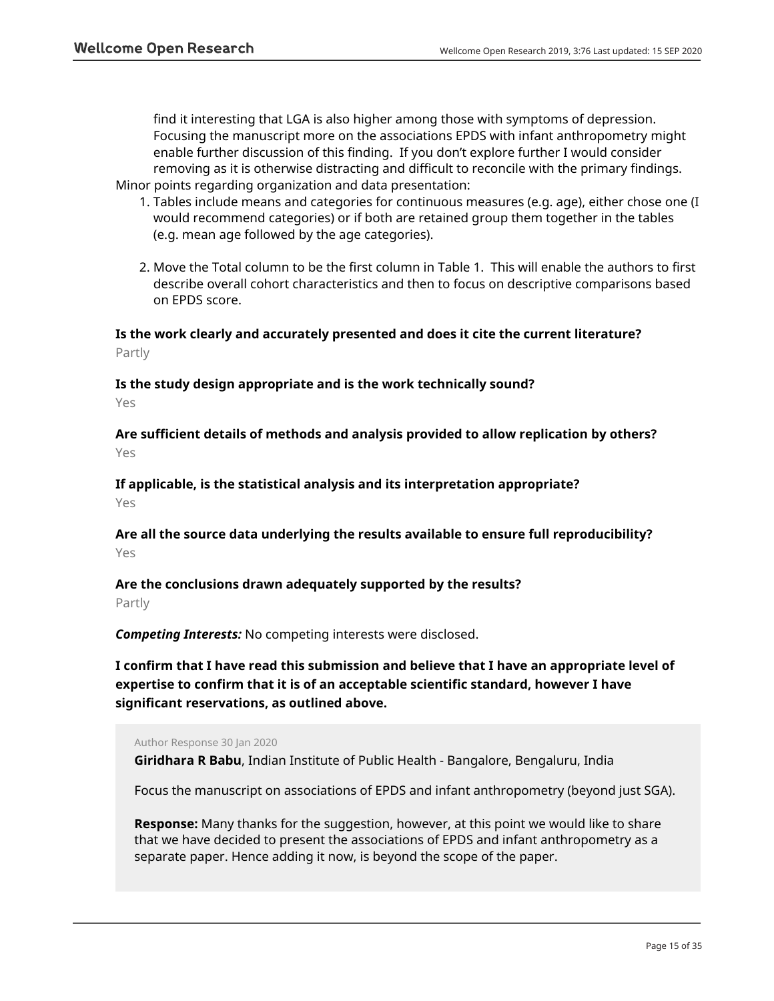find it interesting that LGA is also higher among those with symptoms of depression. Focusing the manuscript more on the associations EPDS with infant anthropometry might enable further discussion of this finding. If you don't explore further I would consider removing as it is otherwise distracting and difficult to reconcile with the primary findings. Minor points regarding organization and data presentation:

- 1. Tables include means and categories for continuous measures (e.g. age), either chose one (I would recommend categories) or if both are retained group them together in the tables (e.g. mean age followed by the age categories).
- 2. Move the Total column to be the first column in Table 1. This will enable the authors to first describe overall cohort characteristics and then to focus on descriptive comparisons based on EPDS score.

**Is the work clearly and accurately presented and does it cite the current literature?** Partly

**Is the study design appropriate and is the work technically sound?**

Yes

**Are sufficient details of methods and analysis provided to allow replication by others?** Yes

**If applicable, is the statistical analysis and its interpretation appropriate?** Yes

**Are all the source data underlying the results available to ensure full reproducibility?** Yes

**Are the conclusions drawn adequately supported by the results?**

Partly

*Competing Interests:* No competing interests were disclosed.

**I confirm that I have read this submission and believe that I have an appropriate level of expertise to confirm that it is of an acceptable scientific standard, however I have significant reservations, as outlined above.**

Author Response 30 Jan 2020

**Giridhara R Babu**, Indian Institute of Public Health - Bangalore, Bengaluru, India

Focus the manuscript on associations of EPDS and infant anthropometry (beyond just SGA).

**Response:** Many thanks for the suggestion, however, at this point we would like to share that we have decided to present the associations of EPDS and infant anthropometry as a separate paper. Hence adding it now, is beyond the scope of the paper.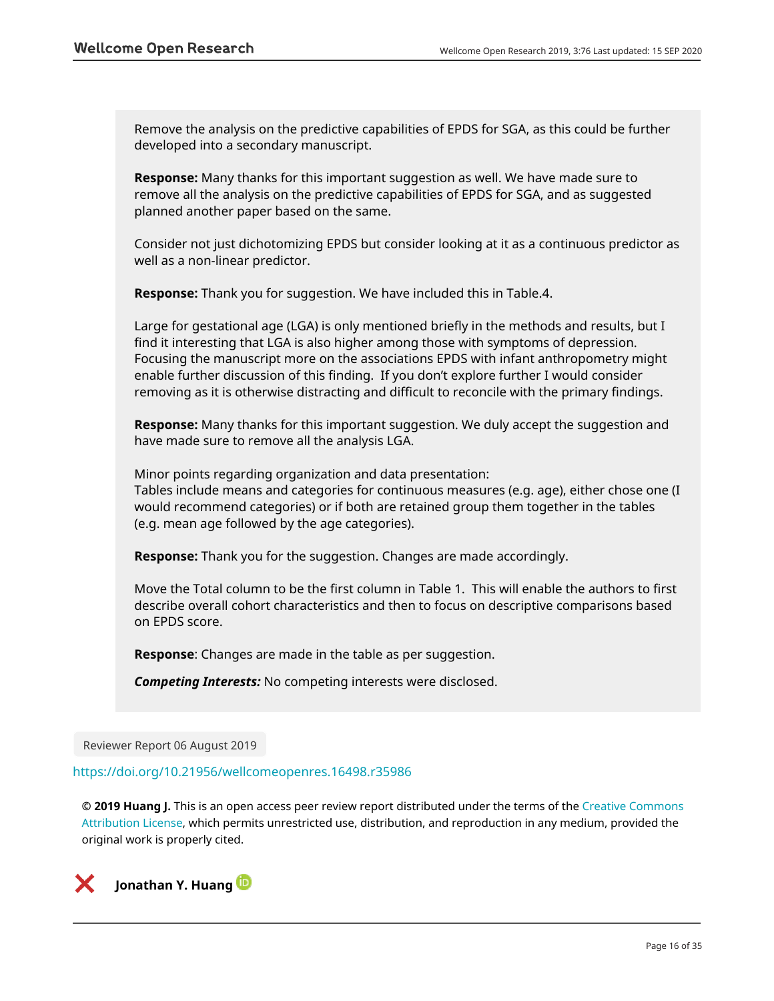Remove the analysis on the predictive capabilities of EPDS for SGA, as this could be further developed into a secondary manuscript.

**Response:** Many thanks for this important suggestion as well. We have made sure to remove all the analysis on the predictive capabilities of EPDS for SGA, and as suggested planned another paper based on the same.

Consider not just dichotomizing EPDS but consider looking at it as a continuous predictor as well as a non-linear predictor.

**Response:** Thank you for suggestion. We have included this in Table.4.

Large for gestational age (LGA) is only mentioned briefly in the methods and results, but I find it interesting that LGA is also higher among those with symptoms of depression. Focusing the manuscript more on the associations EPDS with infant anthropometry might enable further discussion of this finding. If you don't explore further I would consider removing as it is otherwise distracting and difficult to reconcile with the primary findings.

**Response:** Many thanks for this important suggestion. We duly accept the suggestion and have made sure to remove all the analysis LGA.

Minor points regarding organization and data presentation:

Tables include means and categories for continuous measures (e.g. age), either chose one (I would recommend categories) or if both are retained group them together in the tables (e.g. mean age followed by the age categories).

**Response:** Thank you for the suggestion. Changes are made accordingly.

Move the Total column to be the first column in Table 1. This will enable the authors to first describe overall cohort characteristics and then to focus on descriptive comparisons based on EPDS score.

**Response**: Changes are made in the table as per suggestion.

*Competing Interests:* No competing interests were disclosed.

Reviewer Report 06 August 2019

### <https://doi.org/10.21956/wellcomeopenres.16498.r35986>

**© 2019 Huang J.** This is an open access peer review report distributed under the terms of the [Creative Commons](https://creativecommons.org/licenses/by/4.0/) [Attribution License](https://creativecommons.org/licenses/by/4.0/), which permits unrestricted use, distribution, and reproduction in any medium, provided the original work is properly cited.

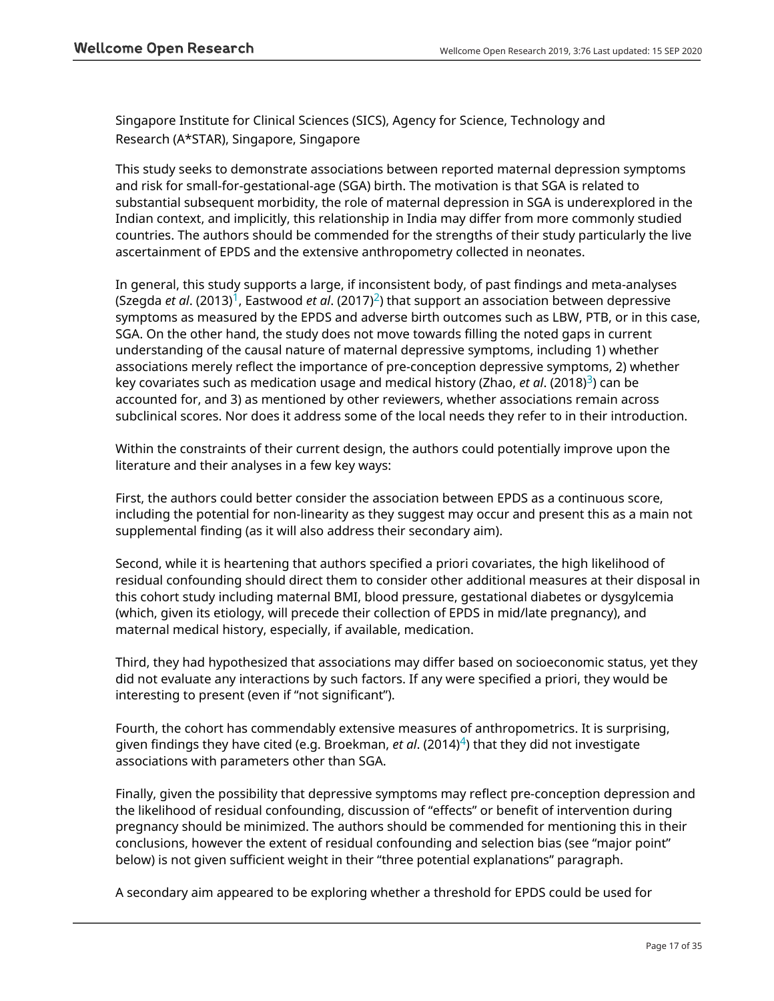Singapore Institute for Clinical Sciences (SICS), Agency for Science, Technology and Research (A\*STAR), Singapore, Singapore

This study seeks to demonstrate associations between reported maternal depression symptoms and risk for small-for-gestational-age (SGA) birth. The motivation is that SGA is related to substantial subsequent morbidity, the role of maternal depression in SGA is underexplored in the Indian context, and implicitly, this relationship in India may differ from more commonly studied countries. The authors should be commended for the strengths of their study particularly the live ascertainment of EPDS and the extensive anthropometry collected in neonates.

In general, this study supports a large, if inconsistent body, of past findings and meta-analyses (Szegda *et al.* (20[1](jar:file:/work/f1000research/webapps/ROOT/WEB-INF/lib/service-1.0-SNAPSHOT.jar!/com/f1000research/service/export/pdf/#rep-ref-35986-1)3)<sup>1</sup>, Eastwood *et al.* ([2](jar:file:/work/f1000research/webapps/ROOT/WEB-INF/lib/service-1.0-SNAPSHOT.jar!/com/f1000research/service/export/pdf/#rep-ref-35986-2)017)<sup>2</sup>) that support an association between depressive symptoms as measured by the EPDS and adverse birth outcomes such as LBW, PTB, or in this case, SGA. On the other hand, the study does not move towards filling the noted gaps in current understanding of the causal nature of maternal depressive symptoms, including 1) whether associations merely reflect the importance of pre-conception depressive symptoms, 2) whether key covariates such as medication usage and medical history (Zhao, *et gl*. (2018)<sup>[3](jar:file:/work/f1000research/webapps/ROOT/WEB-INF/lib/service-1.0-SNAPSHOT.jar!/com/f1000research/service/export/pdf/#rep-ref-35986-3)</sup>) can be accounted for, and 3) as mentioned by other reviewers, whether associations remain across subclinical scores. Nor does it address some of the local needs they refer to in their introduction.

Within the constraints of their current design, the authors could potentially improve upon the literature and their analyses in a few key ways:

First, the authors could better consider the association between EPDS as a continuous score, including the potential for non-linearity as they suggest may occur and present this as a main not supplemental finding (as it will also address their secondary aim).

Second, while it is heartening that authors specified a priori covariates, the high likelihood of residual confounding should direct them to consider other additional measures at their disposal in this cohort study including maternal BMI, blood pressure, gestational diabetes or dysgylcemia (which, given its etiology, will precede their collection of EPDS in mid/late pregnancy), and maternal medical history, especially, if available, medication.

Third, they had hypothesized that associations may differ based on socioeconomic status, yet they did not evaluate any interactions by such factors. If any were specified a priori, they would be interesting to present (even if "not significant").

Fourth, the cohort has commendably extensive measures of anthropometrics. It is surprising, given findings they have cited (e.g. Broekman, *et al*. (2014)[4](jar:file:/work/f1000research/webapps/ROOT/WEB-INF/lib/service-1.0-SNAPSHOT.jar!/com/f1000research/service/export/pdf/#rep-ref-35986-4)) that they did not investigate associations with parameters other than SGA.

Finally, given the possibility that depressive symptoms may reflect pre-conception depression and the likelihood of residual confounding, discussion of "effects" or benefit of intervention during pregnancy should be minimized. The authors should be commended for mentioning this in their conclusions, however the extent of residual confounding and selection bias (see "major point" below) is not given sufficient weight in their "three potential explanations" paragraph.

A secondary aim appeared to be exploring whether a threshold for EPDS could be used for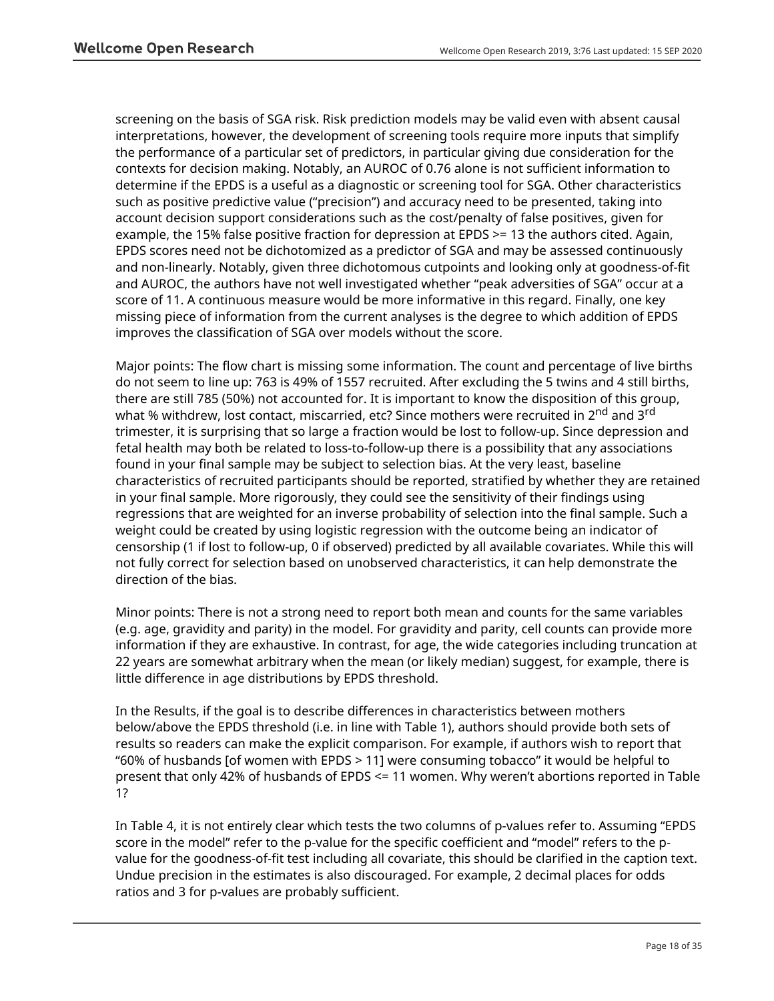screening on the basis of SGA risk. Risk prediction models may be valid even with absent causal interpretations, however, the development of screening tools require more inputs that simplify the performance of a particular set of predictors, in particular giving due consideration for the contexts for decision making. Notably, an AUROC of 0.76 alone is not sufficient information to determine if the EPDS is a useful as a diagnostic or screening tool for SGA. Other characteristics such as positive predictive value ("precision") and accuracy need to be presented, taking into account decision support considerations such as the cost/penalty of false positives, given for example, the 15% false positive fraction for depression at EPDS >= 13 the authors cited. Again, EPDS scores need not be dichotomized as a predictor of SGA and may be assessed continuously and non-linearly. Notably, given three dichotomous cutpoints and looking only at goodness-of-fit and AUROC, the authors have not well investigated whether "peak adversities of SGA" occur at a score of 11. A continuous measure would be more informative in this regard. Finally, one key missing piece of information from the current analyses is the degree to which addition of EPDS improves the classification of SGA over models without the score.

Major points: The flow chart is missing some information. The count and percentage of live births do not seem to line up: 763 is 49% of 1557 recruited. After excluding the 5 twins and 4 still births, there are still 785 (50%) not accounted for. It is important to know the disposition of this group, what % withdrew, lost contact, miscarried, etc? Since mothers were recruited in 2<sup>nd</sup> and 3<sup>rd</sup> trimester, it is surprising that so large a fraction would be lost to follow-up. Since depression and fetal health may both be related to loss-to-follow-up there is a possibility that any associations found in your final sample may be subject to selection bias. At the very least, baseline characteristics of recruited participants should be reported, stratified by whether they are retained in your final sample. More rigorously, they could see the sensitivity of their findings using regressions that are weighted for an inverse probability of selection into the final sample. Such a weight could be created by using logistic regression with the outcome being an indicator of censorship (1 if lost to follow-up, 0 if observed) predicted by all available covariates. While this will not fully correct for selection based on unobserved characteristics, it can help demonstrate the direction of the bias.

Minor points: There is not a strong need to report both mean and counts for the same variables (e.g. age, gravidity and parity) in the model. For gravidity and parity, cell counts can provide more information if they are exhaustive. In contrast, for age, the wide categories including truncation at 22 years are somewhat arbitrary when the mean (or likely median) suggest, for example, there is little difference in age distributions by EPDS threshold.

In the Results, if the goal is to describe differences in characteristics between mothers below/above the EPDS threshold (i.e. in line with Table 1), authors should provide both sets of results so readers can make the explicit comparison. For example, if authors wish to report that "60% of husbands [of women with EPDS > 11] were consuming tobacco" it would be helpful to present that only 42% of husbands of EPDS <= 11 women. Why weren't abortions reported in Table 1?

In Table 4, it is not entirely clear which tests the two columns of p-values refer to. Assuming "EPDS score in the model" refer to the p-value for the specific coefficient and "model" refers to the pvalue for the goodness-of-fit test including all covariate, this should be clarified in the caption text. Undue precision in the estimates is also discouraged. For example, 2 decimal places for odds ratios and 3 for p-values are probably sufficient.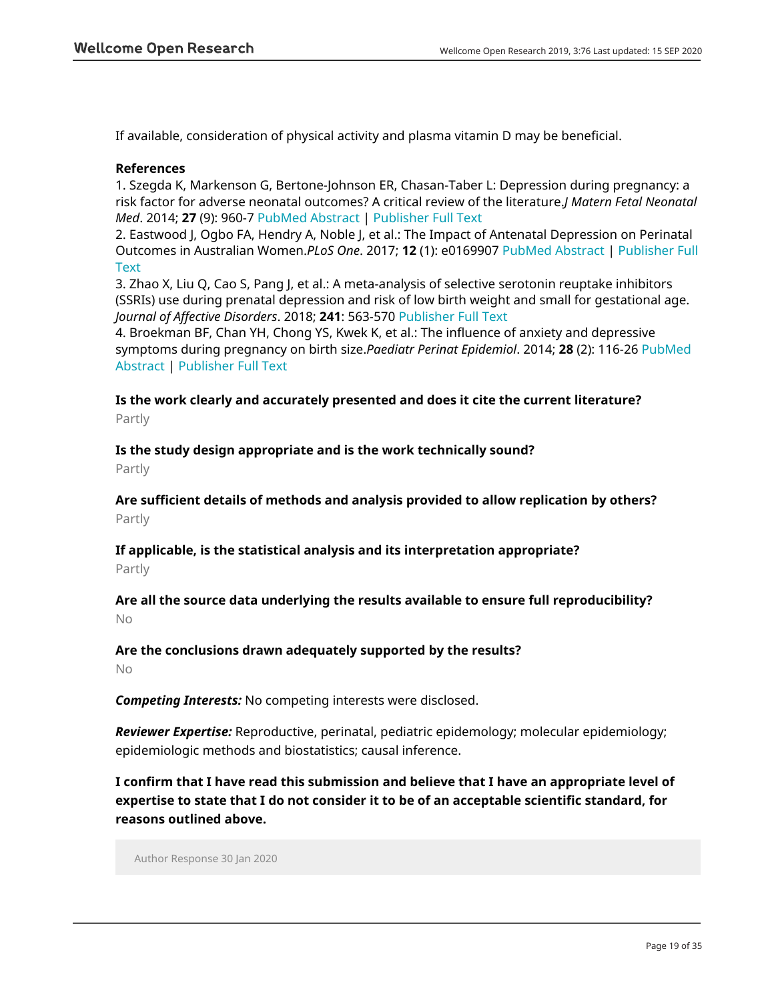If available, consideration of physical activity and plasma vitamin D may be beneficial.

## **References**

1. Szegda K, Markenson G, Bertone-Johnson ER, Chasan-Taber L: Depression during pregnancy: a risk factor for adverse neonatal outcomes? A critical review of the literature.*J Matern Fetal Neonatal Med*. 2014; **27** (9): 960-7 [PubMed Abstract](http://www.ncbi.nlm.nih.gov/pubmed/24044422) | [Publisher Full Text](https://doi.org/10.3109/14767058.2013.845157)

2. Eastwood J, Ogbo FA, Hendry A, Noble J, et al.: The Impact of Antenatal Depression on Perinatal Outcomes in Australian Women.*PLoS One*. 2017; **12** (1): e0169907 [PubMed Abstract](http://www.ncbi.nlm.nih.gov/pubmed/28095461) | [Publisher Full](https://doi.org/10.1371/journal.pone.0169907) [Text](https://doi.org/10.1371/journal.pone.0169907)

3. Zhao X, Liu Q, Cao S, Pang J, et al.: A meta-analysis of selective serotonin reuptake inhibitors (SSRIs) use during prenatal depression and risk of low birth weight and small for gestational age. *Journal of Affective Disorders*. 2018; **241**: 563-570 [Publisher Full Text](https://doi.org/10.1016/j.jad.2018.08.061)

4. Broekman BF, Chan YH, Chong YS, Kwek K, et al.: The influence of anxiety and depressive symptoms during pregnancy on birth size.*Paediatr Perinat Epidemiol*. 2014; **28** (2): 116-26 [PubMed](http://www.ncbi.nlm.nih.gov/pubmed/24266599) [Abstract](http://www.ncbi.nlm.nih.gov/pubmed/24266599) | [Publisher Full Text](https://doi.org/10.1111/ppe.12096)

**Is the work clearly and accurately presented and does it cite the current literature?** Partly

**Is the study design appropriate and is the work technically sound?**

Partly

**Are sufficient details of methods and analysis provided to allow replication by others?** Partly

**If applicable, is the statistical analysis and its interpretation appropriate?** Partly

**Are all the source data underlying the results available to ensure full reproducibility?** No

# **Are the conclusions drawn adequately supported by the results?**

No

*Competing Interests:* No competing interests were disclosed.

*Reviewer Expertise:* Reproductive, perinatal, pediatric epidemology; molecular epidemiology; epidemiologic methods and biostatistics; causal inference.

**I confirm that I have read this submission and believe that I have an appropriate level of expertise to state that I do not consider it to be of an acceptable scientific standard, for reasons outlined above.**

Author Response 30 Jan 2020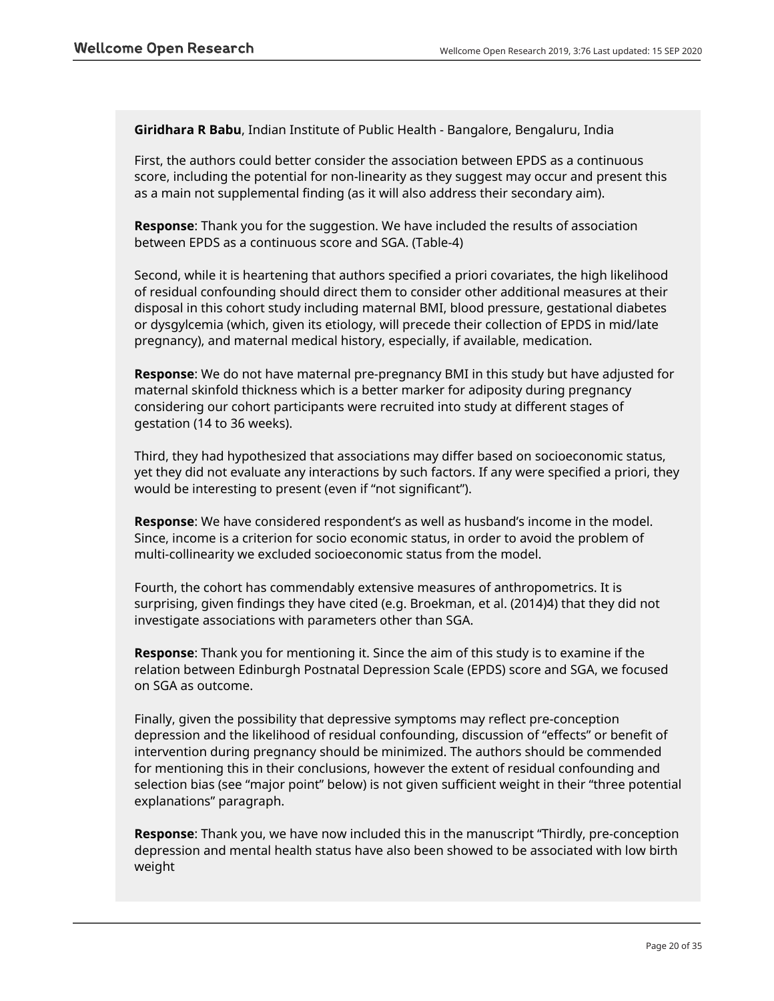**Giridhara R Babu**, Indian Institute of Public Health - Bangalore, Bengaluru, India

First, the authors could better consider the association between EPDS as a continuous score, including the potential for non-linearity as they suggest may occur and present this as a main not supplemental finding (as it will also address their secondary aim).

**Response**: Thank you for the suggestion. We have included the results of association between EPDS as a continuous score and SGA. (Table-4)

Second, while it is heartening that authors specified a priori covariates, the high likelihood of residual confounding should direct them to consider other additional measures at their disposal in this cohort study including maternal BMI, blood pressure, gestational diabetes or dysgylcemia (which, given its etiology, will precede their collection of EPDS in mid/late pregnancy), and maternal medical history, especially, if available, medication.

**Response**: We do not have maternal pre-pregnancy BMI in this study but have adjusted for maternal skinfold thickness which is a better marker for adiposity during pregnancy considering our cohort participants were recruited into study at different stages of gestation (14 to 36 weeks).

Third, they had hypothesized that associations may differ based on socioeconomic status, yet they did not evaluate any interactions by such factors. If any were specified a priori, they would be interesting to present (even if "not significant").

**Response**: We have considered respondent's as well as husband's income in the model. Since, income is a criterion for socio economic status, in order to avoid the problem of multi-collinearity we excluded socioeconomic status from the model.

Fourth, the cohort has commendably extensive measures of anthropometrics. It is surprising, given findings they have cited (e.g. Broekman, et al. (2014)4) that they did not investigate associations with parameters other than SGA.

**Response**: Thank you for mentioning it. Since the aim of this study is to examine if the relation between Edinburgh Postnatal Depression Scale (EPDS) score and SGA, we focused on SGA as outcome.

Finally, given the possibility that depressive symptoms may reflect pre-conception depression and the likelihood of residual confounding, discussion of "effects" or benefit of intervention during pregnancy should be minimized. The authors should be commended for mentioning this in their conclusions, however the extent of residual confounding and selection bias (see "major point" below) is not given sufficient weight in their "three potential explanations" paragraph.

**Response**: Thank you, we have now included this in the manuscript "Thirdly, pre-conception depression and mental health status have also been showed to be associated with low birth weight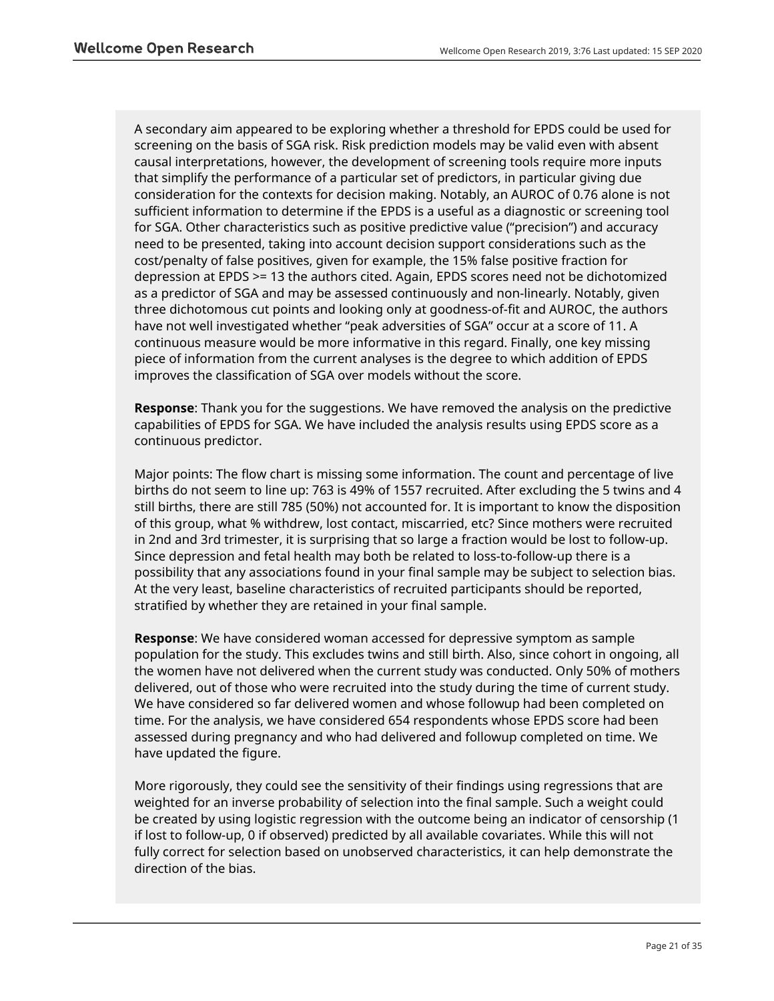A secondary aim appeared to be exploring whether a threshold for EPDS could be used for screening on the basis of SGA risk. Risk prediction models may be valid even with absent causal interpretations, however, the development of screening tools require more inputs that simplify the performance of a particular set of predictors, in particular giving due consideration for the contexts for decision making. Notably, an AUROC of 0.76 alone is not sufficient information to determine if the EPDS is a useful as a diagnostic or screening tool for SGA. Other characteristics such as positive predictive value ("precision") and accuracy need to be presented, taking into account decision support considerations such as the cost/penalty of false positives, given for example, the 15% false positive fraction for depression at EPDS >= 13 the authors cited. Again, EPDS scores need not be dichotomized as a predictor of SGA and may be assessed continuously and non-linearly. Notably, given three dichotomous cut points and looking only at goodness-of-fit and AUROC, the authors have not well investigated whether "peak adversities of SGA" occur at a score of 11. A continuous measure would be more informative in this regard. Finally, one key missing piece of information from the current analyses is the degree to which addition of EPDS improves the classification of SGA over models without the score.

**Response**: Thank you for the suggestions. We have removed the analysis on the predictive capabilities of EPDS for SGA. We have included the analysis results using EPDS score as a continuous predictor.

Major points: The flow chart is missing some information. The count and percentage of live births do not seem to line up: 763 is 49% of 1557 recruited. After excluding the 5 twins and 4 still births, there are still 785 (50%) not accounted for. It is important to know the disposition of this group, what % withdrew, lost contact, miscarried, etc? Since mothers were recruited in 2nd and 3rd trimester, it is surprising that so large a fraction would be lost to follow-up. Since depression and fetal health may both be related to loss-to-follow-up there is a possibility that any associations found in your final sample may be subject to selection bias. At the very least, baseline characteristics of recruited participants should be reported, stratified by whether they are retained in your final sample.

**Response**: We have considered woman accessed for depressive symptom as sample population for the study. This excludes twins and still birth. Also, since cohort in ongoing, all the women have not delivered when the current study was conducted. Only 50% of mothers delivered, out of those who were recruited into the study during the time of current study. We have considered so far delivered women and whose followup had been completed on time. For the analysis, we have considered 654 respondents whose EPDS score had been assessed during pregnancy and who had delivered and followup completed on time. We have updated the figure.

More rigorously, they could see the sensitivity of their findings using regressions that are weighted for an inverse probability of selection into the final sample. Such a weight could be created by using logistic regression with the outcome being an indicator of censorship (1 if lost to follow-up, 0 if observed) predicted by all available covariates. While this will not fully correct for selection based on unobserved characteristics, it can help demonstrate the direction of the bias.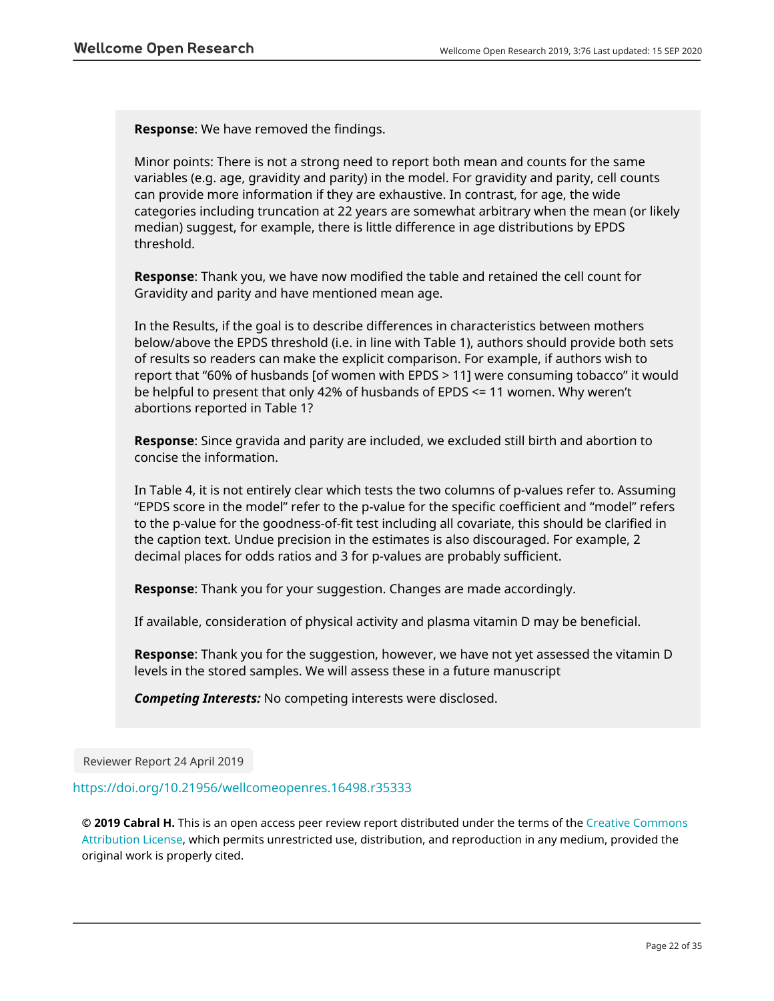**Response**: We have removed the findings.

Minor points: There is not a strong need to report both mean and counts for the same variables (e.g. age, gravidity and parity) in the model. For gravidity and parity, cell counts can provide more information if they are exhaustive. In contrast, for age, the wide categories including truncation at 22 years are somewhat arbitrary when the mean (or likely median) suggest, for example, there is little difference in age distributions by EPDS threshold.

**Response**: Thank you, we have now modified the table and retained the cell count for Gravidity and parity and have mentioned mean age.

In the Results, if the goal is to describe differences in characteristics between mothers below/above the EPDS threshold (i.e. in line with Table 1), authors should provide both sets of results so readers can make the explicit comparison. For example, if authors wish to report that "60% of husbands [of women with EPDS > 11] were consuming tobacco" it would be helpful to present that only 42% of husbands of EPDS <= 11 women. Why weren't abortions reported in Table 1?

**Response**: Since gravida and parity are included, we excluded still birth and abortion to concise the information.

In Table 4, it is not entirely clear which tests the two columns of p-values refer to. Assuming "EPDS score in the model" refer to the p-value for the specific coefficient and "model" refers to the p-value for the goodness-of-fit test including all covariate, this should be clarified in the caption text. Undue precision in the estimates is also discouraged. For example, 2 decimal places for odds ratios and 3 for p-values are probably sufficient.

**Response**: Thank you for your suggestion. Changes are made accordingly.

If available, consideration of physical activity and plasma vitamin D may be beneficial.

**Response**: Thank you for the suggestion, however, we have not yet assessed the vitamin D levels in the stored samples. We will assess these in a future manuscript

*Competing Interests:* No competing interests were disclosed.

Reviewer Report 24 April 2019

<https://doi.org/10.21956/wellcomeopenres.16498.r35333>

**© 2019 Cabral H.** This is an open access peer review report distributed under the terms of the [Creative Commons](https://creativecommons.org/licenses/by/4.0/) [Attribution License](https://creativecommons.org/licenses/by/4.0/), which permits unrestricted use, distribution, and reproduction in any medium, provided the original work is properly cited.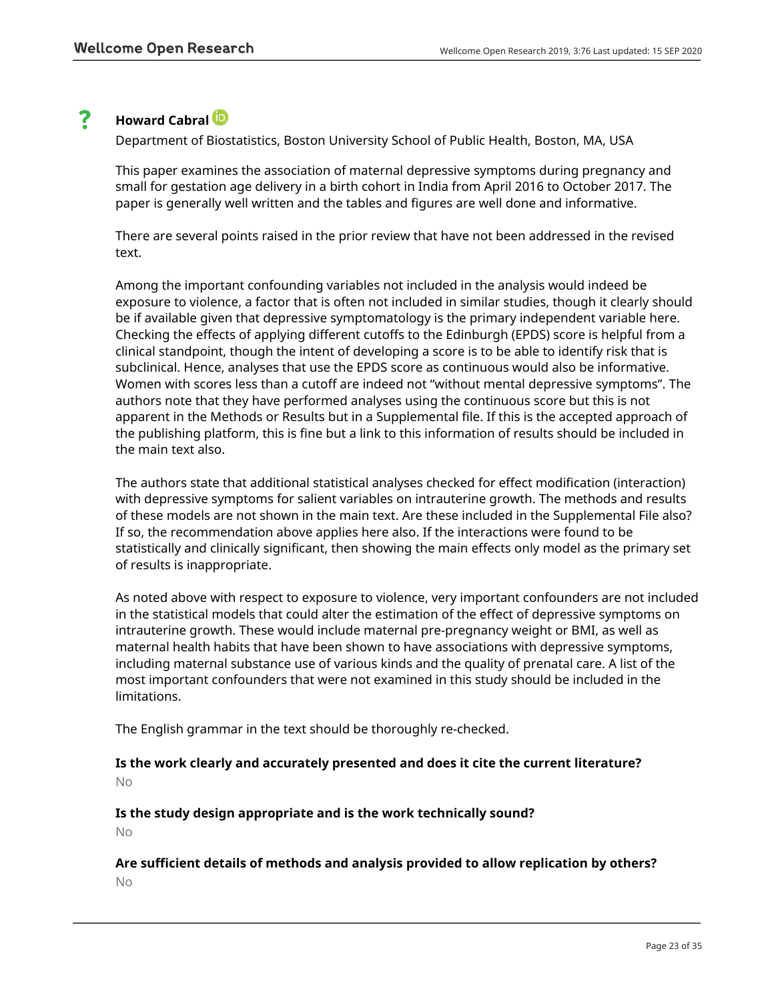#### ? **Howard Cabral**

Department of Biostatistics, Boston University School of Public Health, Boston, MA, USA

This paper examines the association of maternal depressive symptoms during pregnancy and small for gestation age delivery in a birth cohort in India from April 2016 to October 2017. The paper is generally well written and the tables and figures are well done and informative.

There are several points raised in the prior review that have not been addressed in the revised text.

Among the important confounding variables not included in the analysis would indeed be exposure to violence, a factor that is often not included in similar studies, though it clearly should be if available given that depressive symptomatology is the primary independent variable here. Checking the effects of applying different cutoffs to the Edinburgh (EPDS) score is helpful from a clinical standpoint, though the intent of developing a score is to be able to identify risk that is subclinical. Hence, analyses that use the EPDS score as continuous would also be informative. Women with scores less than a cutoff are indeed not "without mental depressive symptoms". The authors note that they have performed analyses using the continuous score but this is not apparent in the Methods or Results but in a Supplemental file. If this is the accepted approach of the publishing platform, this is fine but a link to this information of results should be included in the main text also.

The authors state that additional statistical analyses checked for effect modification (interaction) with depressive symptoms for salient variables on intrauterine growth. The methods and results of these models are not shown in the main text. Are these included in the Supplemental File also? If so, the recommendation above applies here also. If the interactions were found to be statistically and clinically significant, then showing the main effects only model as the primary set of results is inappropriate.

As noted above with respect to exposure to violence, very important confounders are not included in the statistical models that could alter the estimation of the effect of depressive symptoms on intrauterine growth. These would include maternal pre-pregnancy weight or BMI, as well as maternal health habits that have been shown to have associations with depressive symptoms, including maternal substance use of various kinds and the quality of prenatal care. A list of the most important confounders that were not examined in this study should be included in the limitations.

The English grammar in the text should be thoroughly re-checked.

## **Is the work clearly and accurately presented and does it cite the current literature?** No

**Is the study design appropriate and is the work technically sound?**

No

# **Are sufficient details of methods and analysis provided to allow replication by others?** No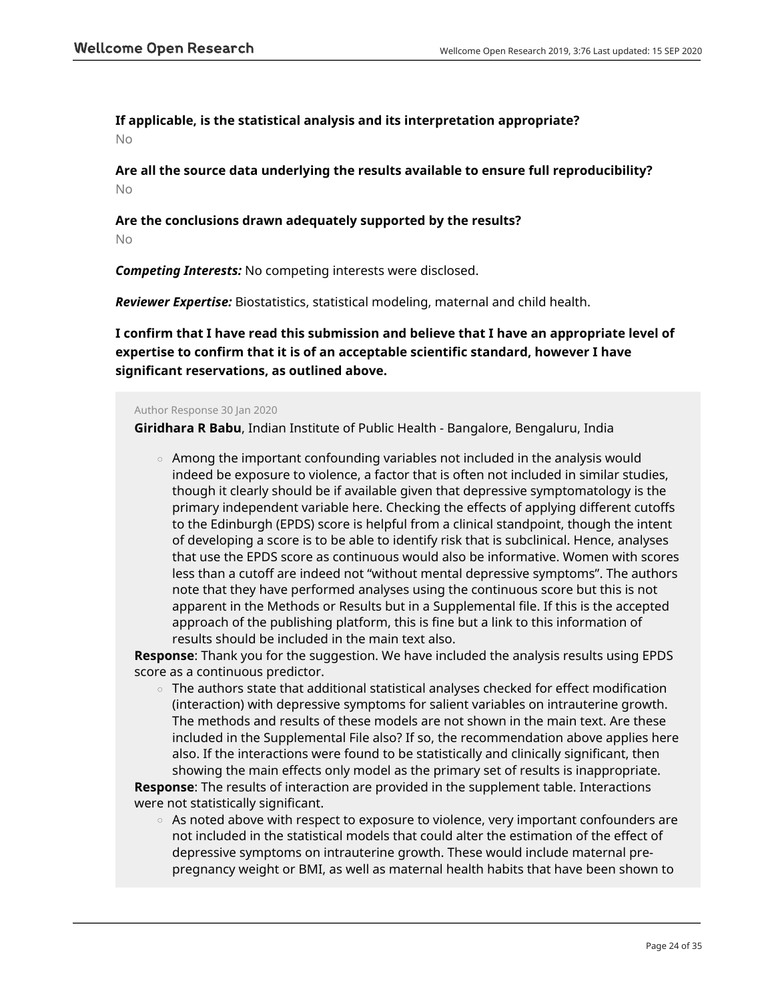# **If applicable, is the statistical analysis and its interpretation appropriate?**

No

**Are all the source data underlying the results available to ensure full reproducibility?** No

# **Are the conclusions drawn adequately supported by the results?**

No

*Competing Interests:* No competing interests were disclosed.

*Reviewer Expertise:* Biostatistics, statistical modeling, maternal and child health.

**I confirm that I have read this submission and believe that I have an appropriate level of expertise to confirm that it is of an acceptable scientific standard, however I have significant reservations, as outlined above.**

### Author Response 30 Jan 2020

**Giridhara R Babu**, Indian Institute of Public Health - Bangalore, Bengaluru, India

 $\,\circ\,$  Among the important confounding variables not included in the analysis would indeed be exposure to violence, a factor that is often not included in similar studies, though it clearly should be if available given that depressive symptomatology is the primary independent variable here. Checking the effects of applying different cutoffs to the Edinburgh (EPDS) score is helpful from a clinical standpoint, though the intent of developing a score is to be able to identify risk that is subclinical. Hence, analyses that use the EPDS score as continuous would also be informative. Women with scores less than a cutoff are indeed not "without mental depressive symptoms". The authors note that they have performed analyses using the continuous score but this is not apparent in the Methods or Results but in a Supplemental file. If this is the accepted approach of the publishing platform, this is fine but a link to this information of results should be included in the main text also.

**Response**: Thank you for the suggestion. We have included the analysis results using EPDS score as a continuous predictor.

 $\,\circ\,$  The authors state that additional statistical analyses checked for effect modification (interaction) with depressive symptoms for salient variables on intrauterine growth. The methods and results of these models are not shown in the main text. Are these included in the Supplemental File also? If so, the recommendation above applies here also. If the interactions were found to be statistically and clinically significant, then showing the main effects only model as the primary set of results is inappropriate.

**Response**: The results of interaction are provided in the supplement table. Interactions were not statistically significant.

 $\,\circ\,\,$  As noted above with respect to exposure to violence, very important confounders are not included in the statistical models that could alter the estimation of the effect of depressive symptoms on intrauterine growth. These would include maternal prepregnancy weight or BMI, as well as maternal health habits that have been shown to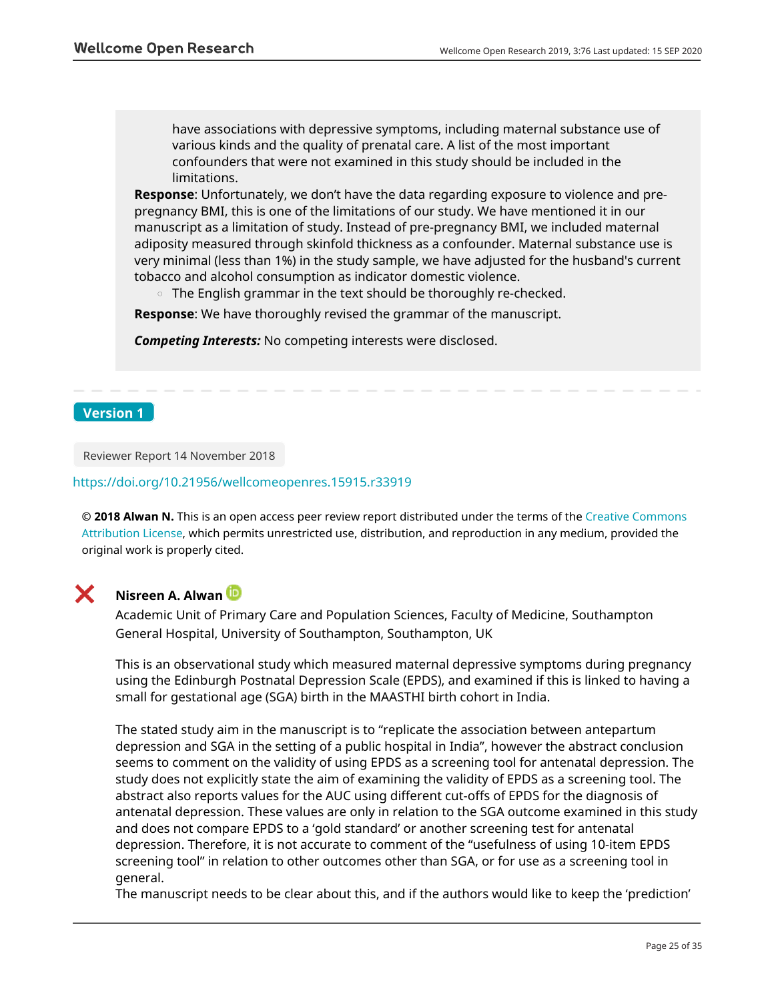have associations with depressive symptoms, including maternal substance use of various kinds and the quality of prenatal care. A list of the most important confounders that were not examined in this study should be included in the limitations.

**Response**: Unfortunately, we don't have the data regarding exposure to violence and prepregnancy BMI, this is one of the limitations of our study. We have mentioned it in our manuscript as a limitation of study. Instead of pre-pregnancy BMI, we included maternal adiposity measured through skinfold thickness as a confounder. Maternal substance use is very minimal (less than 1%) in the study sample, we have adjusted for the husband's current tobacco and alcohol consumption as indicator domestic violence.

 $\circ$  The English grammar in the text should be thoroughly re-checked.

**Response**: We have thoroughly revised the grammar of the manuscript.

*Competing Interests:* No competing interests were disclosed.

## **Version 1**

Reviewer Report 14 November 2018

### <https://doi.org/10.21956/wellcomeopenres.15915.r33919>

**© 2018 Alwan N.** This is an open access peer review report distributed under the terms of the [Creative Commons](https://creativecommons.org/licenses/by/4.0/) [Attribution License](https://creativecommons.org/licenses/by/4.0/), which permits unrestricted use, distribution, and reproduction in any medium, provided the original work is properly cited.



# **Nisreen A. Alwan**

Academic Unit of Primary Care and Population Sciences, Faculty of Medicine, Southampton General Hospital, University of Southampton, Southampton, UK

This is an observational study which measured maternal depressive symptoms during pregnancy using the Edinburgh Postnatal Depression Scale (EPDS), and examined if this is linked to having a small for gestational age (SGA) birth in the MAASTHI birth cohort in India.

The stated study aim in the manuscript is to "replicate the association between antepartum depression and SGA in the setting of a public hospital in India", however the abstract conclusion seems to comment on the validity of using EPDS as a screening tool for antenatal depression. The study does not explicitly state the aim of examining the validity of EPDS as a screening tool. The abstract also reports values for the AUC using different cut-offs of EPDS for the diagnosis of antenatal depression. These values are only in relation to the SGA outcome examined in this study and does not compare EPDS to a 'gold standard' or another screening test for antenatal depression. Therefore, it is not accurate to comment of the "usefulness of using 10-item EPDS screening tool" in relation to other outcomes other than SGA, or for use as a screening tool in general.

The manuscript needs to be clear about this, and if the authors would like to keep the 'prediction'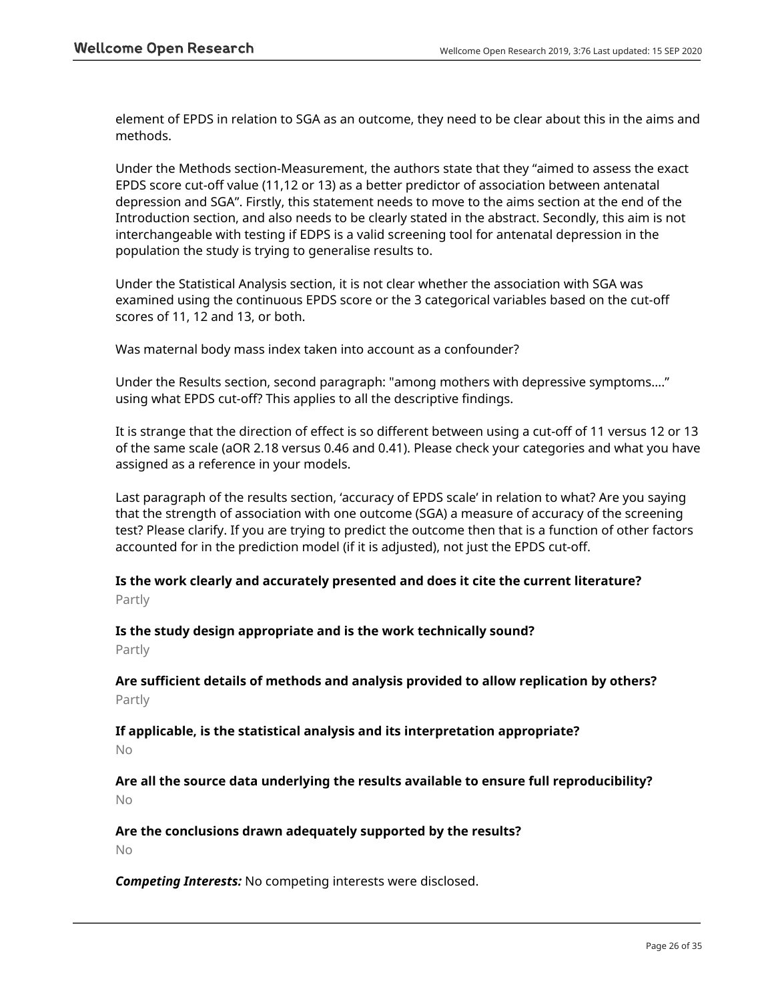element of EPDS in relation to SGA as an outcome, they need to be clear about this in the aims and methods.

Under the Methods section-Measurement, the authors state that they "aimed to assess the exact EPDS score cut-off value (11,12 or 13) as a better predictor of association between antenatal depression and SGA". Firstly, this statement needs to move to the aims section at the end of the Introduction section, and also needs to be clearly stated in the abstract. Secondly, this aim is not interchangeable with testing if EDPS is a valid screening tool for antenatal depression in the population the study is trying to generalise results to.

Under the Statistical Analysis section, it is not clear whether the association with SGA was examined using the continuous EPDS score or the 3 categorical variables based on the cut-off scores of 11, 12 and 13, or both.

Was maternal body mass index taken into account as a confounder?

Under the Results section, second paragraph: "among mothers with depressive symptoms…." using what EPDS cut-off? This applies to all the descriptive findings.

It is strange that the direction of effect is so different between using a cut-off of 11 versus 12 or 13 of the same scale (aOR 2.18 versus 0.46 and 0.41). Please check your categories and what you have assigned as a reference in your models.

Last paragraph of the results section, 'accuracy of EPDS scale' in relation to what? Are you saying that the strength of association with one outcome (SGA) a measure of accuracy of the screening test? Please clarify. If you are trying to predict the outcome then that is a function of other factors accounted for in the prediction model (if it is adjusted), not just the EPDS cut-off.

# **Is the work clearly and accurately presented and does it cite the current literature?** Partly

**Is the study design appropriate and is the work technically sound?** Partly

**Are sufficient details of methods and analysis provided to allow replication by others?** Partly

**If applicable, is the statistical analysis and its interpretation appropriate?** No

**Are all the source data underlying the results available to ensure full reproducibility?** No

**Are the conclusions drawn adequately supported by the results?**

No

*Competing Interests:* No competing interests were disclosed.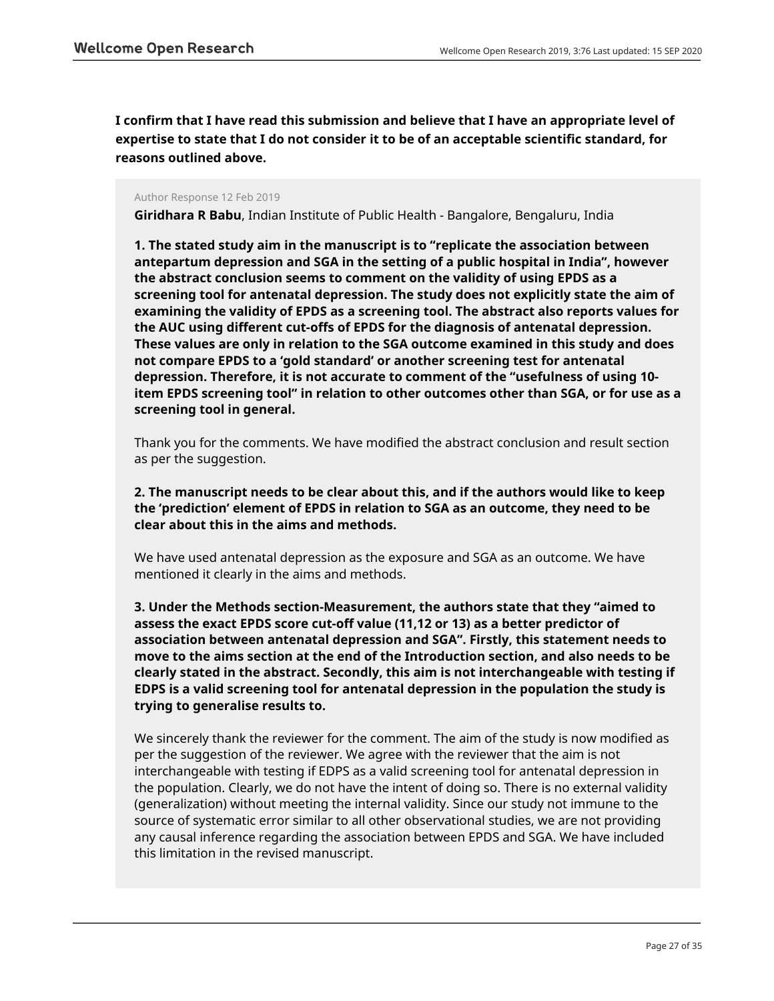**I confirm that I have read this submission and believe that I have an appropriate level of expertise to state that I do not consider it to be of an acceptable scientific standard, for reasons outlined above.**

### Author Response 12 Feb 2019

**Giridhara R Babu**, Indian Institute of Public Health - Bangalore, Bengaluru, India

**1. The stated study aim in the manuscript is to "replicate the association between antepartum depression and SGA in the setting of a public hospital in India", however the abstract conclusion seems to comment on the validity of using EPDS as a screening tool for antenatal depression. The study does not explicitly state the aim of examining the validity of EPDS as a screening tool. The abstract also reports values for the AUC using different cut-offs of EPDS for the diagnosis of antenatal depression. These values are only in relation to the SGA outcome examined in this study and does not compare EPDS to a 'gold standard' or another screening test for antenatal depression. Therefore, it is not accurate to comment of the "usefulness of using 10 item EPDS screening tool" in relation to other outcomes other than SGA, or for use as a screening tool in general.**

Thank you for the comments. We have modified the abstract conclusion and result section as per the suggestion.

**2. The manuscript needs to be clear about this, and if the authors would like to keep the 'prediction' element of EPDS in relation to SGA as an outcome, they need to be clear about this in the aims and methods.**

We have used antenatal depression as the exposure and SGA as an outcome. We have mentioned it clearly in the aims and methods.

**3. Under the Methods section-Measurement, the authors state that they "aimed to assess the exact EPDS score cut-off value (11,12 or 13) as a better predictor of association between antenatal depression and SGA". Firstly, this statement needs to move to the aims section at the end of the Introduction section, and also needs to be clearly stated in the abstract. Secondly, this aim is not interchangeable with testing if EDPS is a valid screening tool for antenatal depression in the population the study is trying to generalise results to.**

We sincerely thank the reviewer for the comment. The aim of the study is now modified as per the suggestion of the reviewer. We agree with the reviewer that the aim is not interchangeable with testing if EDPS as a valid screening tool for antenatal depression in the population. Clearly, we do not have the intent of doing so. There is no external validity (generalization) without meeting the internal validity. Since our study not immune to the source of systematic error similar to all other observational studies, we are not providing any causal inference regarding the association between EPDS and SGA. We have included this limitation in the revised manuscript.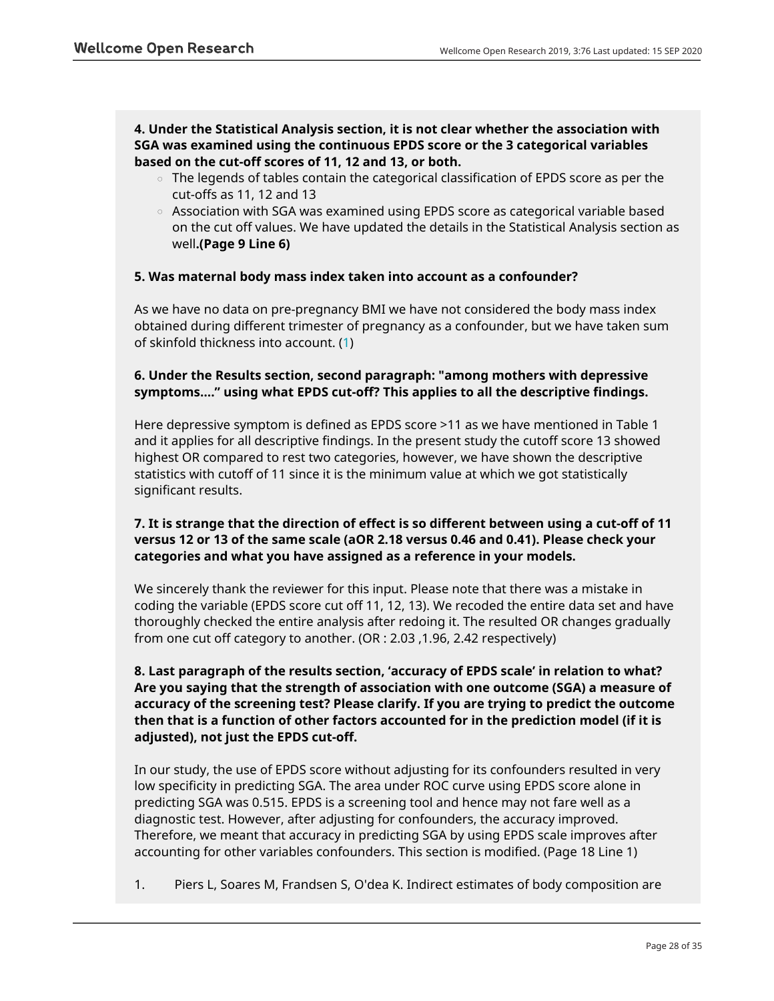**4. Under the Statistical Analysis section, it is not clear whether the association with SGA was examined using the continuous EPDS score or the 3 categorical variables based on the cut-off scores of 11, 12 and 13, or both.**

- $\circ$   $\,$  The legends of tables contain the categorical classification of EPDS score as per the cut-offs as 11, 12 and 13
- Association with SGA was examined using EPDS score as categorical variable based on the cut off values. We have updated the details in the Statistical Analysis section as well**.(Page 9 Line 6)**

# **5. Was maternal body mass index taken into account as a confounder?**

As we have no data on pre-pregnancy BMI we have not considered the body mass index obtained during different trimester of pregnancy as a confounder, but we have taken sum of skinfold thickness into account. (1)

# **6. Under the Results section, second paragraph: "among mothers with depressive symptoms…." using what EPDS cut-off? This applies to all the descriptive findings.**

Here depressive symptom is defined as EPDS score >11 as we have mentioned in Table 1 and it applies for all descriptive findings. In the present study the cutoff score 13 showed highest OR compared to rest two categories, however, we have shown the descriptive statistics with cutoff of 11 since it is the minimum value at which we got statistically significant results.

# **7. It is strange that the direction of effect is so different between using a cut-off of 11 versus 12 or 13 of the same scale (aOR 2.18 versus 0.46 and 0.41). Please check your categories and what you have assigned as a reference in your models.**

We sincerely thank the reviewer for this input. Please note that there was a mistake in coding the variable (EPDS score cut off 11, 12, 13). We recoded the entire data set and have thoroughly checked the entire analysis after redoing it. The resulted OR changes gradually from one cut off category to another. (OR : 2.03 ,1.96, 2.42 respectively)

**8. Last paragraph of the results section, 'accuracy of EPDS scale' in relation to what? Are you saying that the strength of association with one outcome (SGA) a measure of accuracy of the screening test? Please clarify. If you are trying to predict the outcome then that is a function of other factors accounted for in the prediction model (if it is adjusted), not just the EPDS cut-off.**

In our study, the use of EPDS score without adjusting for its confounders resulted in very low specificity in predicting SGA. The area under ROC curve using EPDS score alone in predicting SGA was 0.515. EPDS is a screening tool and hence may not fare well as a diagnostic test. However, after adjusting for confounders, the accuracy improved. Therefore, we meant that accuracy in predicting SGA by using EPDS scale improves after accounting for other variables confounders. This section is modified. (Page 18 Line 1)

1. Piers L, Soares M, Frandsen S, O'dea K. Indirect estimates of body composition are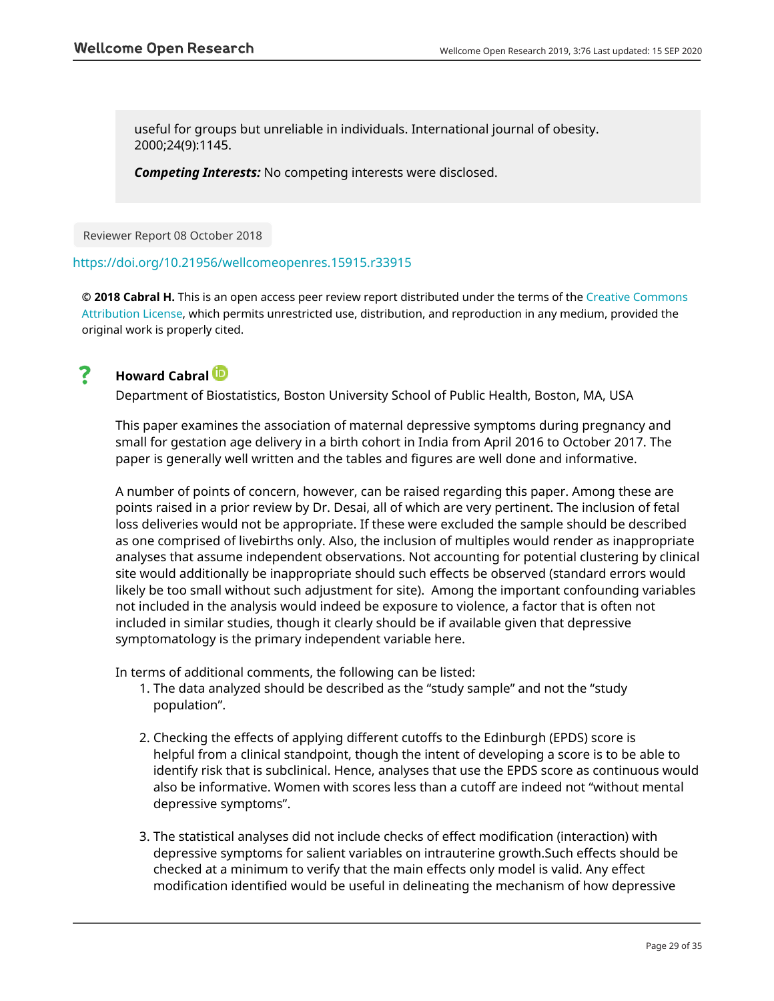useful for groups but unreliable in individuals. International journal of obesity. 2000;24(9):1145.

*Competing Interests:* No competing interests were disclosed.

Reviewer Report 08 October 2018

## <https://doi.org/10.21956/wellcomeopenres.15915.r33915>

**© 2018 Cabral H.** This is an open access peer review report distributed under the terms of the [Creative Commons](https://creativecommons.org/licenses/by/4.0/) [Attribution License](https://creativecommons.org/licenses/by/4.0/), which permits unrestricted use, distribution, and reproduction in any medium, provided the original work is properly cited.

#### ? **Howard Cabral**

Department of Biostatistics, Boston University School of Public Health, Boston, MA, USA

This paper examines the association of maternal depressive symptoms during pregnancy and small for gestation age delivery in a birth cohort in India from April 2016 to October 2017. The paper is generally well written and the tables and figures are well done and informative.

A number of points of concern, however, can be raised regarding this paper. Among these are points raised in a prior review by Dr. Desai, all of which are very pertinent. The inclusion of fetal loss deliveries would not be appropriate. If these were excluded the sample should be described as one comprised of livebirths only. Also, the inclusion of multiples would render as inappropriate analyses that assume independent observations. Not accounting for potential clustering by clinical site would additionally be inappropriate should such effects be observed (standard errors would likely be too small without such adjustment for site). Among the important confounding variables not included in the analysis would indeed be exposure to violence, a factor that is often not included in similar studies, though it clearly should be if available given that depressive symptomatology is the primary independent variable here.

In terms of additional comments, the following can be listed:

- 1. The data analyzed should be described as the "study sample" and not the "study population".
- 2. Checking the effects of applying different cutoffs to the Edinburgh (EPDS) score is helpful from a clinical standpoint, though the intent of developing a score is to be able to identify risk that is subclinical. Hence, analyses that use the EPDS score as continuous would also be informative. Women with scores less than a cutoff are indeed not "without mental depressive symptoms".
- 3. The statistical analyses did not include checks of effect modification (interaction) with depressive symptoms for salient variables on intrauterine growth.Such effects should be checked at a minimum to verify that the main effects only model is valid. Any effect modification identified would be useful in delineating the mechanism of how depressive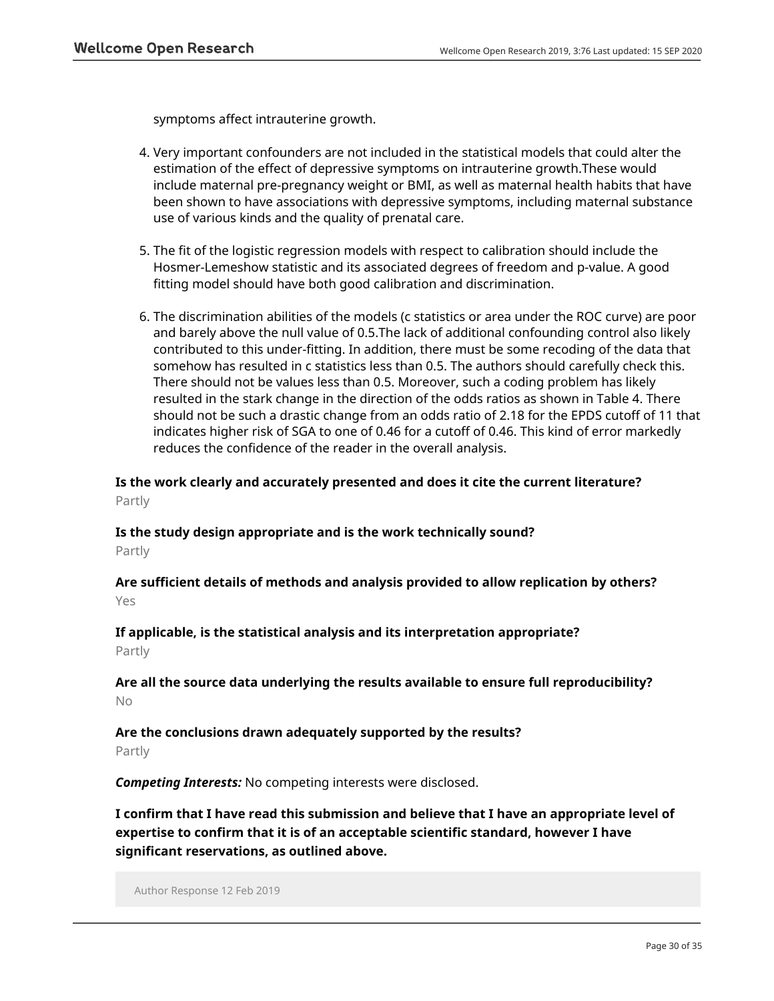symptoms affect intrauterine growth.

- 4. Very important confounders are not included in the statistical models that could alter the estimation of the effect of depressive symptoms on intrauterine growth.These would include maternal pre-pregnancy weight or BMI, as well as maternal health habits that have been shown to have associations with depressive symptoms, including maternal substance use of various kinds and the quality of prenatal care.
- 5. The fit of the logistic regression models with respect to calibration should include the Hosmer-Lemeshow statistic and its associated degrees of freedom and p-value. A good fitting model should have both good calibration and discrimination.
- 6. The discrimination abilities of the models (c statistics or area under the ROC curve) are poor and barely above the null value of 0.5.The lack of additional confounding control also likely contributed to this under-fitting. In addition, there must be some recoding of the data that somehow has resulted in c statistics less than 0.5. The authors should carefully check this. There should not be values less than 0.5. Moreover, such a coding problem has likely resulted in the stark change in the direction of the odds ratios as shown in Table 4. There should not be such a drastic change from an odds ratio of 2.18 for the EPDS cutoff of 11 that indicates higher risk of SGA to one of 0.46 for a cutoff of 0.46. This kind of error markedly reduces the confidence of the reader in the overall analysis.

**Is the work clearly and accurately presented and does it cite the current literature?** Partly

# **Is the study design appropriate and is the work technically sound?** Partly

**Are sufficient details of methods and analysis provided to allow replication by others?** Yes

**If applicable, is the statistical analysis and its interpretation appropriate?** Partly

**Are all the source data underlying the results available to ensure full reproducibility?** No

# **Are the conclusions drawn adequately supported by the results?**

Partly

*Competing Interests:* No competing interests were disclosed.

**I confirm that I have read this submission and believe that I have an appropriate level of expertise to confirm that it is of an acceptable scientific standard, however I have significant reservations, as outlined above.**

Author Response 12 Feb 2019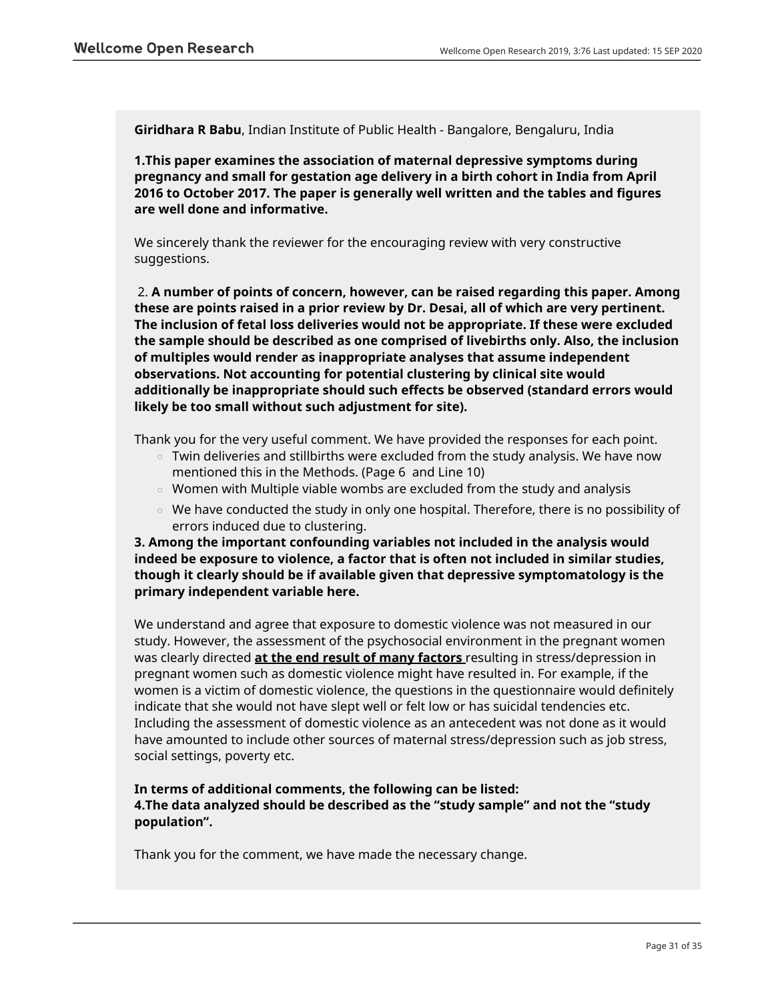**Giridhara R Babu**, Indian Institute of Public Health - Bangalore, Bengaluru, India

**1.This paper examines the association of maternal depressive symptoms during pregnancy and small for gestation age delivery in a birth cohort in India from April 2016 to October 2017. The paper is generally well written and the tables and figures are well done and informative.**

We sincerely thank the reviewer for the encouraging review with very constructive suggestions.

 2. **A number of points of concern, however, can be raised regarding this paper. Among these are points raised in a prior review by Dr. Desai, all of which are very pertinent. The inclusion of fetal loss deliveries would not be appropriate. If these were excluded the sample should be described as one comprised of livebirths only. Also, the inclusion of multiples would render as inappropriate analyses that assume independent observations. Not accounting for potential clustering by clinical site would additionally be inappropriate should such effects be observed (standard errors would likely be too small without such adjustment for site).**

Thank you for the very useful comment. We have provided the responses for each point.

- $\circ~$  Twin deliveries and stillbirths were excluded from the study analysis. We have now mentioned this in the Methods. (Page 6 and Line 10)
- $\circ$  Women with Multiple viable wombs are excluded from the study and analysis
- $\circ$   $\,$  We have conducted the study in only one hospital. Therefore, there is no possibility of errors induced due to clustering.

**3. Among the important confounding variables not included in the analysis would indeed be exposure to violence, a factor that is often not included in similar studies, though it clearly should be if available given that depressive symptomatology is the primary independent variable here.**

We understand and agree that exposure to domestic violence was not measured in our study. However, the assessment of the psychosocial environment in the pregnant women was clearly directed **at the end result of many factors** resulting in stress/depression in pregnant women such as domestic violence might have resulted in. For example, if the women is a victim of domestic violence, the questions in the questionnaire would definitely indicate that she would not have slept well or felt low or has suicidal tendencies etc. Including the assessment of domestic violence as an antecedent was not done as it would have amounted to include other sources of maternal stress/depression such as job stress, social settings, poverty etc.

# **In terms of additional comments, the following can be listed: 4.The data analyzed should be described as the "study sample" and not the "study population".**

Thank you for the comment, we have made the necessary change.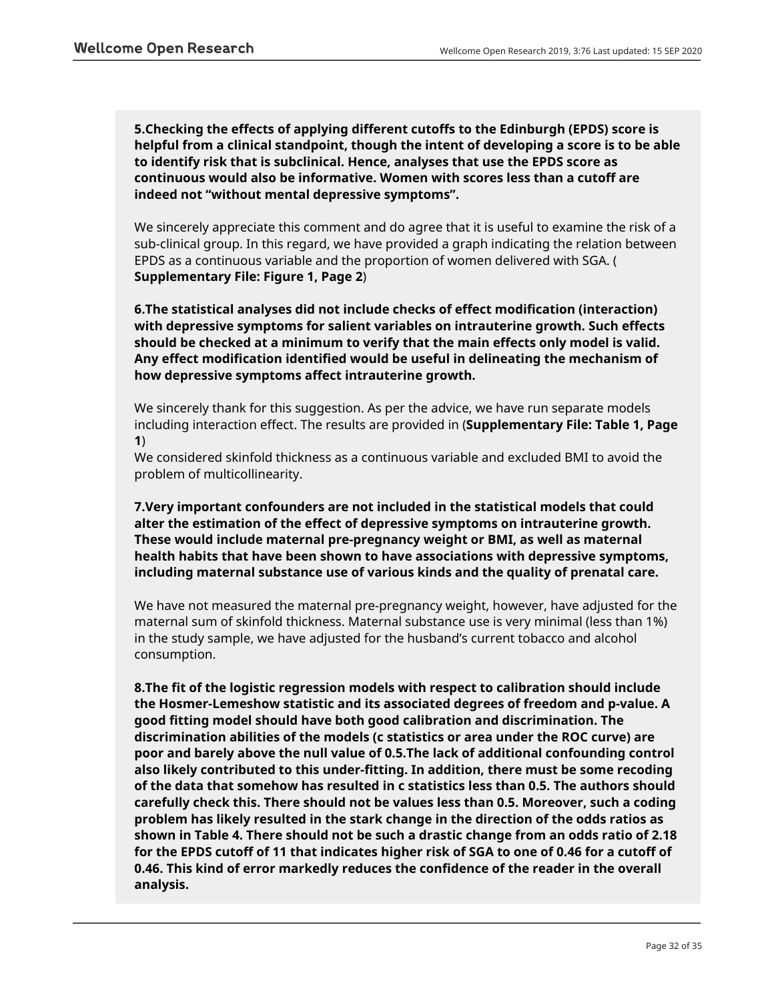**5.Checking the effects of applying different cutoffs to the Edinburgh (EPDS) score is helpful from a clinical standpoint, though the intent of developing a score is to be able to identify risk that is subclinical. Hence, analyses that use the EPDS score as continuous would also be informative. Women with scores less than a cutoff are indeed not "without mental depressive symptoms".**

We sincerely appreciate this comment and do agree that it is useful to examine the risk of a sub-clinical group. In this regard, we have provided a graph indicating the relation between EPDS as a continuous variable and the proportion of women delivered with SGA. ( **Supplementary File: Figure 1, Page 2**)

**6.The statistical analyses did not include checks of effect modification (interaction) with depressive symptoms for salient variables on intrauterine growth. Such effects should be checked at a minimum to verify that the main effects only model is valid. Any effect modification identified would be useful in delineating the mechanism of how depressive symptoms affect intrauterine growth.**

We sincerely thank for this suggestion. As per the advice, we have run separate models including interaction effect. The results are provided in (**Supplementary File: Table 1, Page 1**)

We considered skinfold thickness as a continuous variable and excluded BMI to avoid the problem of multicollinearity.

**7.Very important confounders are not included in the statistical models that could alter the estimation of the effect of depressive symptoms on intrauterine growth. These would include maternal pre-pregnancy weight or BMI, as well as maternal health habits that have been shown to have associations with depressive symptoms, including maternal substance use of various kinds and the quality of prenatal care.**

We have not measured the maternal pre-pregnancy weight, however, have adjusted for the maternal sum of skinfold thickness. Maternal substance use is very minimal (less than 1%) in the study sample, we have adjusted for the husband's current tobacco and alcohol consumption.

**8.The fit of the logistic regression models with respect to calibration should include the Hosmer-Lemeshow statistic and its associated degrees of freedom and p-value. A good fitting model should have both good calibration and discrimination. The discrimination abilities of the models (c statistics or area under the ROC curve) are poor and barely above the null value of 0.5.The lack of additional confounding control also likely contributed to this under-fitting. In addition, there must be some recoding of the data that somehow has resulted in c statistics less than 0.5. The authors should carefully check this. There should not be values less than 0.5. Moreover, such a coding problem has likely resulted in the stark change in the direction of the odds ratios as shown in Table 4. There should not be such a drastic change from an odds ratio of 2.18 for the EPDS cutoff of 11 that indicates higher risk of SGA to one of 0.46 for a cutoff of 0.46. This kind of error markedly reduces the confidence of the reader in the overall analysis.**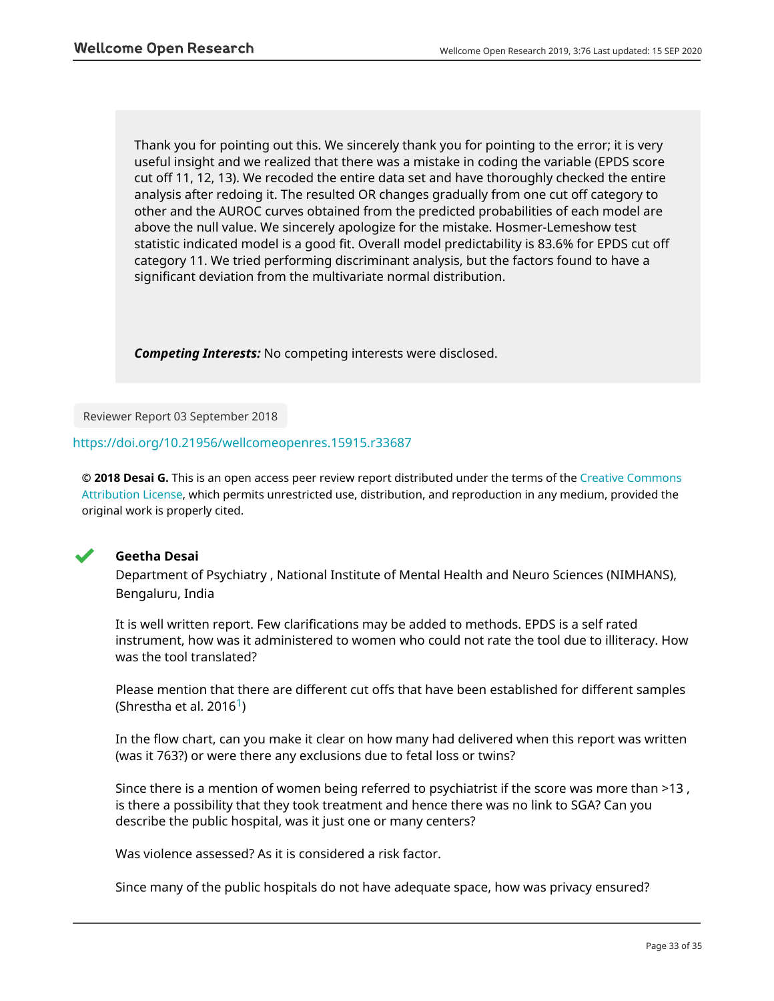Thank you for pointing out this. We sincerely thank you for pointing to the error; it is very useful insight and we realized that there was a mistake in coding the variable (EPDS score cut off 11, 12, 13). We recoded the entire data set and have thoroughly checked the entire analysis after redoing it. The resulted OR changes gradually from one cut off category to other and the AUROC curves obtained from the predicted probabilities of each model are above the null value. We sincerely apologize for the mistake. Hosmer-Lemeshow test statistic indicated model is a good fit. Overall model predictability is 83.6% for EPDS cut off category 11. We tried performing discriminant analysis, but the factors found to have a significant deviation from the multivariate normal distribution.

*Competing Interests:* No competing interests were disclosed.

Reviewer Report 03 September 2018

### <https://doi.org/10.21956/wellcomeopenres.15915.r33687>

**© 2018 Desai G.** This is an open access peer review report distributed under the terms of the [Creative Commons](https://creativecommons.org/licenses/by/4.0/) [Attribution License](https://creativecommons.org/licenses/by/4.0/), which permits unrestricted use, distribution, and reproduction in any medium, provided the original work is properly cited.



## **Geetha Desai**

Department of Psychiatry , National Institute of Mental Health and Neuro Sciences (NIMHANS), Bengaluru, India

It is well written report. Few clarifications may be added to methods. EPDS is a self rated instrument, how was it administered to women who could not rate the tool due to illiteracy. How was the tool translated?

Please mention that there are different cut offs that have been established for different samples (Shrestha et al. 20[1](jar:file:/work/f1000research/webapps/ROOT/WEB-INF/lib/service-1.0-SNAPSHOT.jar!/com/f1000research/service/export/pdf/#rep-ref-33687-1)6<sup>1</sup>)

In the flow chart, can you make it clear on how many had delivered when this report was written (was it 763?) or were there any exclusions due to fetal loss or twins?

Since there is a mention of women being referred to psychiatrist if the score was more than >13 , is there a possibility that they took treatment and hence there was no link to SGA? Can you describe the public hospital, was it just one or many centers?

Was violence assessed? As it is considered a risk factor.

Since many of the public hospitals do not have adequate space, how was privacy ensured?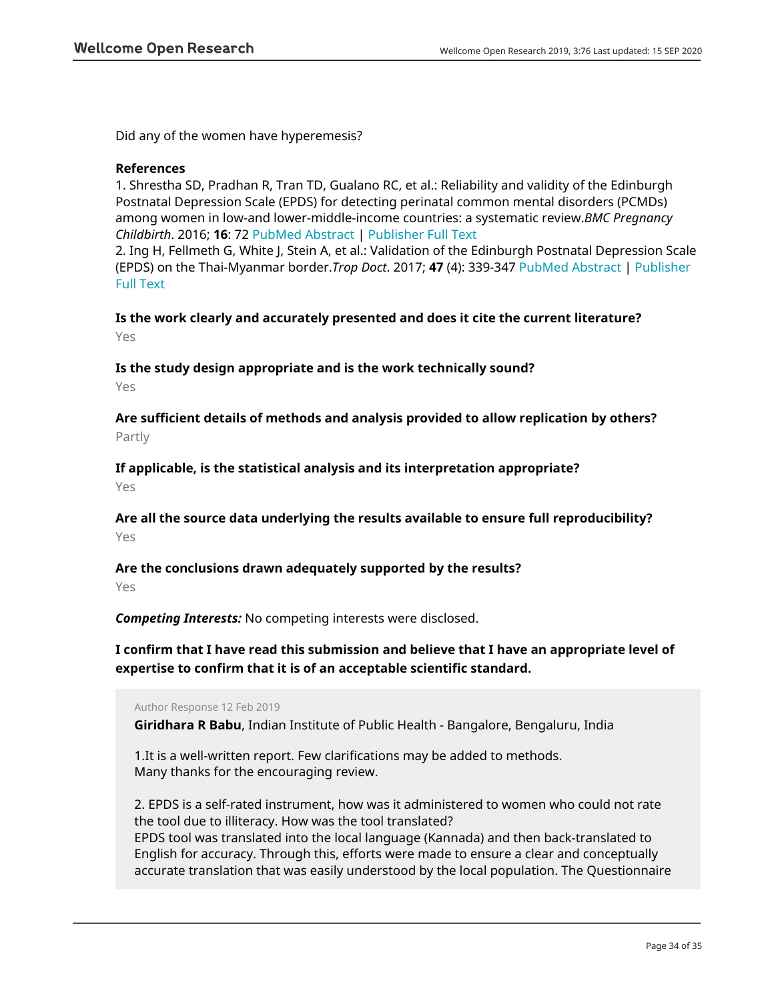Did any of the women have hyperemesis?

## **References**

1. Shrestha SD, Pradhan R, Tran TD, Gualano RC, et al.: Reliability and validity of the Edinburgh Postnatal Depression Scale (EPDS) for detecting perinatal common mental disorders (PCMDs) among women in low-and lower-middle-income countries: a systematic review.*BMC Pregnancy Childbirth*. 2016; **16**: 72 [PubMed Abstract](http://www.ncbi.nlm.nih.gov/pubmed/27044437) | [Publisher Full Text](https://doi.org/10.1186/s12884-016-0859-2)

2. Ing H, Fellmeth G, White J, Stein A, et al.: Validation of the Edinburgh Postnatal Depression Scale (EPDS) on the Thai-Myanmar border.*Trop Doct*. 2017; **47** (4): 339-347 [PubMed Abstract](http://www.ncbi.nlm.nih.gov/pubmed/28699396) | [Publisher](https://doi.org/10.1177/0049475517717635) [Full Text](https://doi.org/10.1177/0049475517717635)

**Is the work clearly and accurately presented and does it cite the current literature?** Yes

**Is the study design appropriate and is the work technically sound?**

Yes

**Are sufficient details of methods and analysis provided to allow replication by others?** Partly

**If applicable, is the statistical analysis and its interpretation appropriate?**

Yes

**Are all the source data underlying the results available to ensure full reproducibility?** Yes

**Are the conclusions drawn adequately supported by the results?**

Yes

*Competing Interests:* No competing interests were disclosed.

**I confirm that I have read this submission and believe that I have an appropriate level of expertise to confirm that it is of an acceptable scientific standard.**

Author Response 12 Feb 2019

**Giridhara R Babu**, Indian Institute of Public Health - Bangalore, Bengaluru, India

1.It is a well-written report. Few clarifications may be added to methods. Many thanks for the encouraging review.

2. EPDS is a self-rated instrument, how was it administered to women who could not rate the tool due to illiteracy. How was the tool translated? EPDS tool was translated into the local language (Kannada) and then back-translated to English for accuracy. Through this, efforts were made to ensure a clear and conceptually accurate translation that was easily understood by the local population. The Questionnaire